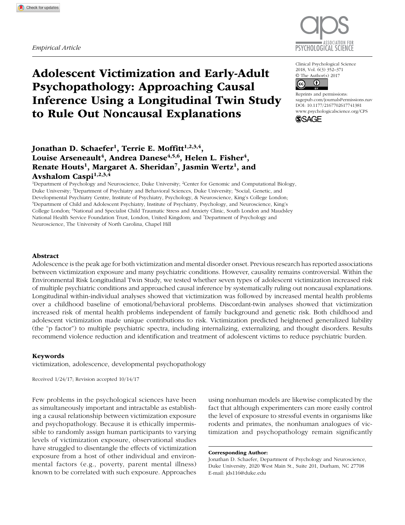*Empirical Article*



# Adolescent Victimization and Early-Adult Psychopathology: Approaching Causal Inference Using a Longitudinal Twin Study to Rule Out Noncausal Explanations

Clinical Psychological Science 2018, Vol. 6(3) 352–371 © The Author(s) 2017



https://doi.org/10.1177/2167702617741381 DOI: 10.1177/2167702617741381 Reprints and permissions: [sagepub.com/journalsPermissions.nav](https://sagepub.com/journalsPermissions.nav) [www.psychologicalscience.org/](http://www.psychologicalscience.org/cps)CPS



# Jonathan D. Schaefer<sup>1</sup>, Terrie E. Moffitt<sup>1,2,3,4</sup>, Louise Arseneault<sup>4</sup>, Andrea Danese<sup>4,5,6</sup>, Helen L. Fisher<sup>4</sup>, Renate Houts<sup>1</sup>, Margaret A. Sheridan<sup>7</sup>, Jasmin Wertz<sup>1</sup>, and Avshalom Caspi<sup>1,2,3,4</sup>

<sup>1</sup>Department of Psychology and Neuroscience, Duke University; <sup>2</sup>Center for Genomic and Computational Biology, Duke University; <sup>3</sup>Department of Psychiatry and Behavioral Sciences, Duke University; <sup>4</sup>Social, Genetic, and Developmental Psychiatry Centre, Institute of Psychiatry, Psychology, & Neuroscience, King's College London; 5 Department of Child and Adolescent Psychiatry, Institute of Psychiatry, Psychology, and Neuroscience, King's College London; <sup>6</sup>National and Specialist Child Traumatic Stress and Anxiety Clinic, South London and Maudsley National Health Service Foundation Trust, London, United Kingdom; and 7 Department of Psychology and Neuroscience, The University of North Carolina, Chapel Hill

### Abstract

Adolescence is the peak age for both victimization and mental disorder onset. Previous research has reported associations between victimization exposure and many psychiatric conditions. However, causality remains controversial. Within the Environmental Risk Longitudinal Twin Study, we tested whether seven types of adolescent victimization increased risk of multiple psychiatric conditions and approached causal inference by systematically ruling out noncausal explanations. Longitudinal within-individual analyses showed that victimization was followed by increased mental health problems over a childhood baseline of emotional/behavioral problems. Discordant-twin analyses showed that victimization increased risk of mental health problems independent of family background and genetic risk. Both childhood and adolescent victimization made unique contributions to risk. Victimization predicted heightened generalized liability (the "p factor") to multiple psychiatric spectra, including internalizing, externalizing, and thought disorders. Results recommend violence reduction and identification and treatment of adolescent victims to reduce psychiatric burden.

### Keywords

victimization, adolescence, developmental psychopathology

Received 1/24/17; Revision accepted 10/14/17

Few problems in the psychological sciences have been as simultaneously important and intractable as establishing a causal relationship between victimization exposure and psychopathology. Because it is ethically impermissible to randomly assign human participants to varying levels of victimization exposure, observational studies have struggled to disentangle the effects of victimization exposure from a host of other individual and environmental factors (e.g., poverty, parent mental illness) known to be correlated with such exposure. Approaches

using nonhuman models are likewise complicated by the fact that although experimenters can more easily control the level of exposure to stressful events in organisms like rodents and primates, the nonhuman analogues of victimization and psychopathology remain significantly

Corresponding Author:

Jonathan D. Schaefer, Department of Psychology and Neuroscience, Duke University, 2020 West Main St., Suite 201, Durham, NC 27708 E-mail: jds116@duke.edu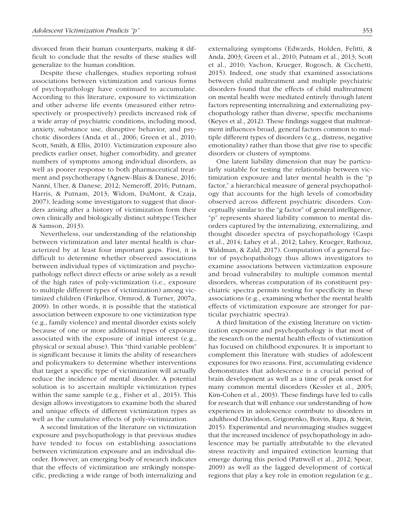divorced from their human counterparts, making it difficult to conclude that the results of these studies will generalize to the human condition.

Despite these challenges, studies reporting robust associations between victimization and various forms of psychopathology have continued to accumulate. According to this literature, exposure to victimization and other adverse life events (measured either retrospectively or prospectively) predicts increased risk of a wide array of psychiatric conditions, including mood, anxiety, substance use, disruptive behavior, and psychotic disorders (Anda et al., 2006; Green et al., 2010; Scott, Smith, & Ellis, 2010). Victimization exposure also predicts earlier onset, higher comorbidity, and greater numbers of symptoms among individual disorders, as well as poorer response to both pharmaceutical treatment and psychotherapy (Agnew-Blais & Danese, 2016; Nanni, Uher, & Danese, 2012; Nemeroff, 2016; Putnam, Harris, & Putnam, 2013; Widom, DuMont, & Czaja, 2007), leading some investigators to suggest that disorders arising after a history of victimization form their own clinically and biologically distinct subtype (Teicher & Samson, 2013).

Nevertheless, our understanding of the relationship between victimization and later mental health is characterized by at least four important gaps. First, it is difficult to determine whether observed associations between individual types of victimization and psychopathology reflect direct effects or arise solely as a result of the high rates of poly-victimization (i.e., exposure to multiple different types of victimization) among victimized children (Finkelhor, Ormrod, & Turner, 2007a, 2009). In other words, it is possible that the statistical association between exposure to one victimization type (e.g., family violence) and mental disorder exists solely because of one or more additional types of exposure associated with the exposure of initial interest (e.g., physical or sexual abuse). This "third variable problem" is significant because it limits the ability of researchers and policymakers to determine whether interventions that target a specific type of victimization will actually reduce the incidence of mental disorder. A potential solution is to ascertain multiple victimization types within the same sample (e.g., Fisher et al., 2015). This design allows investigators to examine both the shared and unique effects of different victimization types as well as the cumulative effects of poly-victimization.

A second limitation of the literature on victimization exposure and psychopathology is that previous studies have tended to focus on establishing associations between victimization exposure and an individual disorder. However, an emerging body of research indicates that the effects of victimization are strikingly nonspecific, predicting a wide range of both internalizing and externalizing symptoms (Edwards, Holden, Felitti, & Anda, 2003; Green et al., 2010; Putnam et al., 2013; Scott et al., 2010; Vachon, Krueger, Rogosch, & Cicchetti, 2015). Indeed, one study that examined associations between child maltreatment and multiple psychiatric disorders found that the effects of child maltreatment on mental health were mediated entirely through latent factors representing internalizing and externalizing psychopathology rather than diverse, specific mechanisms (Keyes et al., 2012). These findings suggest that maltreatment influences broad, general factors common to multiple different types of disorders (e.g., distress, negative emotionality) rather than those that give rise to specific disorders or clusters of symptoms.

One latent liability dimension that may be particularly suitable for testing the relationship between victimization exposure and later mental health is the "p factor," a hierarchical measure of general psychopathology that accounts for the high levels of comorbidity observed across different psychiatric disorders. Conceptually similar to the "g factor" of general intelligence, "p" represents shared liability common to mental disorders captured by the internalizing, externalizing, and thought disorder spectra of psychopathology (Caspi et al., 2014; Lahey et al., 2012; Lahey, Krueger, Rathouz, Waldman, & Zald, 2017). Computation of a general factor of psychopathology thus allows investigators to examine associations between victimization exposure and broad vulnerability to multiple common mental disorders, whereas computation of its constituent psychiatric spectra permits testing for specificity in these associations (e.g., examining whether the mental health effects of victimization exposure are stronger for particular psychiatric spectra).

A third limitation of the existing literature on victimization exposure and psychopathology is that most of the research on the mental health effects of victimization has focused on childhood exposures. It is important to complement this literature with studies of adolescent exposures for two reasons. First, accumulating evidence demonstrates that adolescence is a crucial period of brain development as well as a time of peak onset for many common mental disorders (Kessler et al., 2005; Kim-Cohen et al., 2003). These findings have led to calls for research that will enhance our understanding of how experiences in adolescence contribute to disorders in adulthood (Davidson, Grigorenko, Boivin, Rapa, & Stein, 2015). Experimental and neuroimaging studies suggest that the increased incidence of psychopathology in adolescence may be partially attributable to the elevated stress reactivity and impaired extinction learning that emerge during this period (Pattwell et al., 2012; Spear, 2009) as well as the lagged development of cortical regions that play a key role in emotion regulation (e.g.,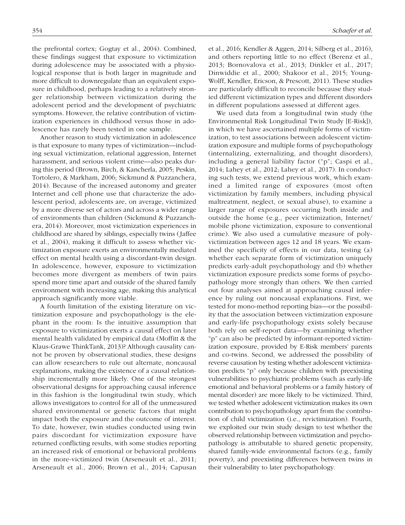the prefrontal cortex; Gogtay et al., 2004). Combined, these findings suggest that exposure to victimization during adolescence may be associated with a physiological response that is both larger in magnitude and more difficult to downregulate than an equivalent exposure in childhood, perhaps leading to a relatively stronger relationship between victimization during the adolescent period and the development of psychiatric symptoms. However, the relative contribution of victimization experiences in childhood versus those in adolescence has rarely been tested in one sample.

Another reason to study victimization in adolescence is that exposure to many types of victimization—including sexual victimization, relational aggression, Internet harassment, and serious violent crime—also peaks during this period (Brown, Birch, & Kancherla, 2005; Peskin, Tortolero, & Markham, 2006; Sickmund & Puzzanchera, 2014). Because of the increased autonomy and greater Internet and cell phone use that characterize the adolescent period, adolescents are, on average, victimized by a more diverse set of actors and across a wider range of environments than children (Sickmund & Puzzanchera, 2014). Moreover, most victimization experiences in childhood are shared by siblings, especially twins (Jaffee et al., 2004), making it difficult to assess whether victimization exposure exerts an environmentally mediated effect on mental health using a discordant-twin design. In adolescence, however, exposure to victimization becomes more divergent as members of twin pairs spend more time apart and outside of the shared family environment with increasing age, making this analytical approach significantly more viable.

A fourth limitation of the existing literature on victimization exposure and psychopathology is the elephant in the room: Is the intuitive assumption that exposure to victimization exerts a causal effect on later mental health validated by empirical data (Moffitt & the Klaus-Grawe ThinkTank, 2013)? Although causality cannot be proven by observational studies, these designs can allow researchers to rule out alternate, noncausal explanations, making the existence of a causal relationship incrementally more likely. One of the strongest observational designs for approaching causal inference in this fashion is the longitudinal twin study, which allows investigators to control for all of the unmeasured shared environmental or genetic factors that might impact both the exposure and the outcome of interest. To date, however, twin studies conducted using twin pairs discordant for victimization exposure have returned conflicting results, with some studies reporting an increased risk of emotional or behavioral problems in the more-victimized twin (Arseneault et al., 2011; Arseneault et al., 2006; Brown et al., 2014; Capusan et al., 2016; Kendler & Aggen, 2014; Silberg et al., 2016), and others reporting little to no effect (Berenz et al., 2013; Bornovalova et al., 2013; Dinkler et al., 2017; Dinwiddie et al., 2000; Shakoor et al., 2015; Young-Wolff, Kendler, Ericson, & Prescott, 2011). These studies are particularly difficult to reconcile because they studied different victimization types and different disorders in different populations assessed at different ages.

We used data from a longitudinal twin study (the Environmental Risk Longitudinal Twin Study [E-Risk]), in which we have ascertained multiple forms of victimization, to test associations between adolescent victimization exposure and multiple forms of psychopathology (internalizing, externalizing, and thought disorders), including a general liability factor ("p"; Caspi et al., 2014; Lahey et al., 2012; Lahey et al., 2017). In conducting such tests, we extend previous work, which examined a limited range of exposures (most often victimization by family members, including physical maltreatment, neglect, or sexual abuse), to examine a larger range of exposures occurring both inside and outside the home (e.g., peer victimization, Internet/ mobile phone victimization, exposure to conventional crime). We also used a cumulative measure of polyvictimization between ages 12 and 18 years. We examined the specificity of effects in our data, testing (a) whether each separate form of victimization uniquely predicts early-adult psychopathology and (b) whether victimization exposure predicts some forms of psychopathology more strongly than others. We then carried out four analyses aimed at approaching causal inference by ruling out noncausal explanations. First, we tested for mono-method reporting bias—or the possibility that the association between victimization exposure and early-life psychopathology exists solely because both rely on self-report data—by examining whether "p" can also be predicted by informant-reported victimization exposure, provided by E-Risk members' parents and co-twins. Second, we addressed the possibility of reverse causation by testing whether adolescent victimization predicts "p" only because children with preexisting vulnerabilities to psychiatric problems (such as early-life emotional and behavioral problems or a family history of mental disorder) are more likely to be victimized. Third, we tested whether adolescent victimization makes its own contribution to psychopathology apart from the contribution of child victimization (i.e., revictimization). Fourth, we exploited our twin study design to test whether the observed relationship between victimization and psychopathology is attributable to shared genetic propensity, shared family-wide environmental factors (e.g., family poverty), and preexisting differences between twins in their vulnerability to later psychopathology.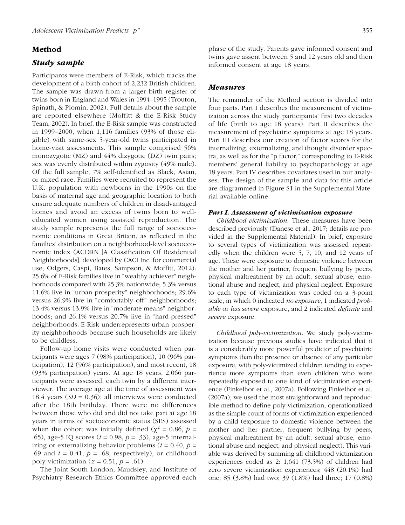### Method

### *Study sample*

Participants were members of E-Risk, which tracks the development of a birth cohort of 2,232 British children. The sample was drawn from a larger birth register of twins born in England and Wales in 1994–1995 (Trouton, Spinath, & Plomin, 2002). Full details about the sample are reported elsewhere (Moffitt & the E-Risk Study Team, 2002). In brief, the E-Risk sample was constructed in 1999–2000, when 1,116 families (93% of those eligible) with same-sex 5-year-old twins participated in home-visit assessments. This sample comprised 56% monozygotic (MZ) and 44% dizygotic (DZ) twin pairs; sex was evenly distributed within zygosity (49% male). Of the full sample, 7% self-identified as Black, Asian, or mixed race. Families were recruited to represent the U.K. population with newborns in the 1990s on the basis of maternal age and geographic location to both ensure adequate numbers of children in disadvantaged homes and avoid an excess of twins born to welleducated women using assisted reproduction. The study sample represents the full range of socioeconomic conditions in Great Britain, as reflected in the families' distribution on a neighborhood-level socioeconomic index (ACORN [A Classification Of Residential Neighborhoods], developed by CACI Inc. for commercial use; Odgers, Caspi, Bates, Sampson, & Moffitt, 2012): 25.6% of E-Risk families live in "wealthy achiever" neighborhoods compared with 25.3% nationwide; 5.3% versus 11.6% live in "urban prosperity" neighborhoods; 29.6% versus 26.9% live in "comfortably off" neighborhoods; 13.4% versus 13.9% live in "moderate means" neighborhoods; and 26.1% versus 20.7% live in "hard-pressed" neighborhoods. E-Risk underrepresents urban prosperity neighborhoods because such households are likely to be childless.

Follow-up home visits were conducted when participants were ages 7 (98% participation), 10 (96% participation), 12 (96% participation), and most recent, 18 (93% participation) years. At age 18 years, 2,066 participants were assessed, each twin by a different interviewer. The average age at the time of assessment was 18.4 years (*SD* = 0.36); all interviews were conducted after the 18th birthday. There were no differences between those who did and did not take part at age 18 years in terms of socioeconomic status (SES) assessed when the cohort was initially defined ( $\chi^2 = 0.86$ ,  $p =$ .65), age-5 IQ scores (*t* = 0.98, *p* = .33), age-5 internalizing or externalizing behavior problems  $(t = 0.40, p =$ .69 and  $t = 0.41$ ,  $p = .68$ , respectively), or childhood poly-victimization  $(z = 0.51, p = .61)$ .

The Joint South London, Maudsley, and Institute of Psychiatry Research Ethics Committee approved each

phase of the study. Parents gave informed consent and twins gave assent between 5 and 12 years old and then informed consent at age 18 years.

### *Measures*

The remainder of the Method section is divided into four parts. Part I describes the measurement of victimization across the study participants' first two decades of life (birth to age 18 years). Part II describes the measurement of psychiatric symptoms at age 18 years. Part III describes our creation of factor scores for the internalizing, externalizing, and thought disorder spectra, as well as for the "p factor," corresponding to E-Risk members' general liability to psychopathology at age 18 years. Part IV describes covariates used in our analyses. The design of the sample and data for this article are diagrammed in [Figure S1](https://journals.sagepub.com/doi/suppl/10.1177/2167702617741381) in the Supplemental Material available online.

#### *Part I. Assessment of victimization exposure*

*Childhood victimization*. These measures have been described previously (Danese et al., 2017; details are provided in the Supplemental Material). In brief, exposure to several types of victimization was assessed repeatedly when the children were 5, 7, 10, and 12 years of age. These were exposure to domestic violence between the mother and her partner, frequent bullying by peers, physical maltreatment by an adult, sexual abuse, emotional abuse and neglect, and physical neglect. Exposure to each type of victimization was coded on a 3-point scale, in which 0 indicated *no exposure*, 1 indicated *probable* or *less severe* exposure, and 2 indicated *definite* and *severe* exposure.

*Childhood poly-victimization*. We study poly-victimization because previous studies have indicated that it is a considerably more powerful predictor of psychiatric symptoms than the presence or absence of any particular exposure, with poly-victimized children tending to experience more symptoms than even children who were repeatedly exposed to one kind of victimization experience (Finkelhor et al., 2007a). Following Finkelhor et al. (2007a), we used the most straightforward and reproducible method to define poly-victimization, operationalized as the simple count of forms of victimization experienced by a child (exposure to domestic violence between the mother and her partner, frequent bullying by peers, physical maltreatment by an adult, sexual abuse, emotional abuse and neglect, and physical neglect). This variable was derived by summing all childhood victimization experiences coded as 2: 1,641 (73.5%) of children had zero severe victimization experiences; 448 (20.1%) had one; 85 (3.8%) had two; 39 (1.8%) had three; 17 (0.8%)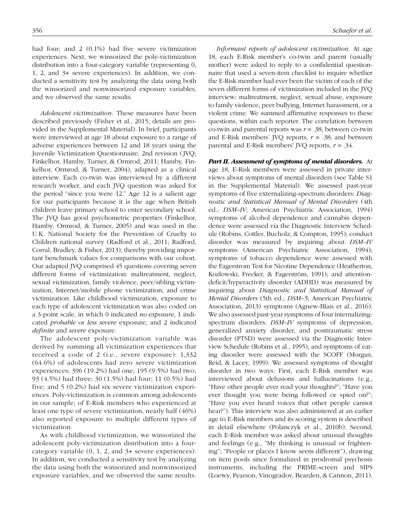had four; and 2 (0.1%) had five severe victimization experiences. Next, we winsorized the poly-victimization distribution into a four-category variable (representing 0, 1, 2, and 3+ severe experiences). In addition, we conducted a sensitivity test by analyzing the data using both the winsorized and nonwinsorized exposure variables, and we observed the same results.

*Adolescent victimization*. These measures have been described previously (Fisher et al., 2015; details are provided in the Supplemental Material). In brief, participants were interviewed at age 18 about exposure to a range of adverse experiences between 12 and 18 years using the Juvenile Victimization Questionnaire, 2nd revision (JVQ; Finkelhor, Hamby, Turner, & Ormrod, 2011; Hamby, Finkelhor, Ormrod, & Turner, 2004), adapted as a clinical interview. Each co-twin was interviewed by a different research worker, and each JVQ question was asked for the period "since you were 12." Age 12 is a salient age for our participants because it is the age when British children leave primary school to enter secondary school. The JVQ has good psychometric properties (Finkelhor, Hamby, Ormrod, & Turner, 2005) and was used in the U.K. National Society for the Prevention of Cruelty to Children national survey (Radford et al., 2011; Radford, Corral, Bradley, & Fisher, 2013), thereby providing important benchmark values for comparisons with our cohort. Our adapted JVQ comprised 45 questions covering seven different forms of victimization: maltreatment, neglect, sexual victimization, family violence, peer/sibling victimization, Internet/mobile phone victimization, and crime victimization. Like childhood victimization, exposure to each type of adolescent victimization was also coded on a 3-point scale, in which 0 indicated *no exposure*, 1 indicated *probable* or *less severe* exposure, and 2 indicated *definite* and *severe* exposure.

The adolescent poly-victimization variable was derived by summing all victimization experiences that received a code of 2 (i.e., severe exposure): 1,332 (64.6%) of adolescents had zero severe victimization experiences; 396 (19.2%) had one; 195 (9.5%) had two; 93 (4.5%) had three; 30 (1.5%) had four; 11 (0.5%) had five; and 5 (0.2%) had six severe victimization experiences. Poly-victimization is common among adolescents in our sample; of E-Risk members who experienced at least one type of severe victimization, nearly half (46%) also reported exposure to multiple different types of victimization.

As with childhood victimization, we winsorized the adolescent poly-victimization distribution into a fourcategory variable (0, 1, 2, and 3+ severe experiences). In addition, we conducted a sensitivity test by analyzing the data using both the winsorized and nonwinsorized exposure variables, and we observed the same results.

*Informant reports of adolescent victimization*. At age 18, each E-Risk member's co-twin and parent (usually mother) were asked to reply to a confidential questionnaire that used a seven-item checklist to inquire whether the E-Risk member had ever been the victim of each of the seven different forms of victimization included in the JVQ interview: maltreatment, neglect, sexual abuse, exposure to family violence, peer bullying, Internet harassment, or a violent crime. We summed affirmative responses to these questions, within each reporter. The correlation between co-twin and parental reports was *r* = .38; between co-twin and E-Risk members' JVQ reports,  $r = .38$ ; and between parental and E-Risk members' JVQ reports,  $r = .34$ .

*Part II. Assessment of symptoms of mental disorders.* At age 18, E-Risk members were assessed in private interviews about symptoms of mental disorders (see Table S1 in the Supplemental Material). We assessed past-year symptoms of five externalizing-spectrum disorders: *Diagnostic and Statistical Manual of Mental Disorders* (4th ed.; *DSM–IV*; American Psychiatric Association, 1994) symptoms of alcohol dependence and cannabis dependence were assessed via the Diagnostic Interview Schedule (Robins, Cottler, Bucholz, & Compton, 1995); conduct disorder was measured by inquiring about *DSM–IV* symptoms (American Psychiatric Association, 1994); symptoms of tobacco dependence were assessed with the Fagerstrom Test for Nicotine Dependence (Heatherton, Kozlowski, Frecker, & Fagerström, 1991); and attentiondeficit/hyperactivity disorder (ADHD) was measured by inquiring about *Diagnostic and Statistical Manual of Mental Disorders* (5th ed.; *DSM–5*; American Psychiatric Association, 2013) symptoms (Agnew-Blais et al., 2016). We also assessed past-year symptoms of four internalizingspectrum disorders: *DSM–IV* symptoms of depression, generalized anxiety disorder, and posttraumatic stress disorder (PTSD) were assessed via the Diagnostic Interview Schedule (Robins et al., 1995), and symptoms of eating disorder were assessed with the SCOFF (Morgan, Reid, & Lacey, 1999). We assessed symptoms of thought disorder in two ways: First, each E-Risk member was interviewed about delusions and hallucinations (e.g., "Have other people ever read your thoughts?"; "Have you ever thought you were being followed or spied on?"; "Have you ever heard voices that other people cannot hear?"). This interview was also administered at an earlier age to E-Risk members and its scoring system is described in detail elsewhere (Polanczyk et al., 2010b). Second, each E-Risk member was asked about unusual thoughts and feelings (e.g., "My thinking is unusual or frightening"; "People or places I know seem different"), drawing on item pools since formalized in prodromal psychosis instruments, including the PRIME-screen and SIPS (Loewy, Pearson, Vinogradov, Bearden, & Cannon, 2011).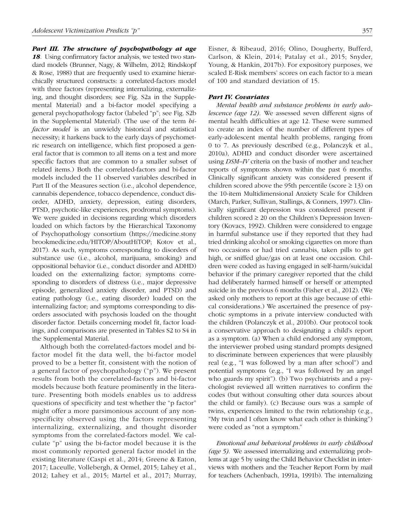*Part III. The structure of psychopathology at age 18*. Using confirmatory factor analysis, we tested two standard models (Brunner, Nagy, & Wilhelm, 2012; Rindskopf & Rose, 1988) that are frequently used to examine hierarchically structured constructs: a correlated-factors model with three factors (representing internalizing, externalizing, and thought disorders; se[e Fig. S2a](https://journals.sagepub.com/doi/suppl/10.1177/2167702617741381) in the Supplemental Material) and a bi-factor model specifying a general psychopathology factor (labeled "p"; se[e Fig. S2b](https://journals.sagepub.com/doi/suppl/10.1177/2167702617741381)  in the Supplemental Material). (The use of the term *bifactor model* is an unwieldy historical and statistical necessity; it harkens back to the early days of psychometric research on intelligence, which first proposed a general factor that is common to all items on a test and more specific factors that are common to a smaller subset of related items.) Both the correlated-factors and bi-factor models included the 11 observed variables described in Part II of the Measures section (i.e., alcohol dependence, cannabis dependence, tobacco dependence, conduct disorder, ADHD, anxiety, depression, eating disorders, PTSD, psychotic-like experiences, prodromal symptoms). We were guided in decisions regarding which disorders loaded on which factors by the Hierarchical Taxonomy of Psychopathology consortium [\(https://medicine.stony](https://medicine.stonybrookmedicine.edu/HITOP/AboutHiTOP) [brookmedicine.edu/HITOP/AboutHiTOP](https://medicine.stonybrookmedicine.edu/HITOP/AboutHiTOP); Kotov et al., 2017). As such, symptoms corresponding to disorders of substance use (i.e., alcohol, marijuana, smoking) and oppositional behavior (i.e., conduct disorder and ADHD) loaded on the externalizing factor; symptoms corresponding to disorders of distress (i.e., major depressive episode, generalized anxiety disorder, and PTSD) and eating pathology (i.e., eating disorder) loaded on the internalizing factor; and symptoms corresponding to disorders associated with psychosis loaded on the thought disorder factor. Details concerning model fit, factor loadings, and comparisons are presented i[n Tables S2 to S4](https://journals.sagepub.com/doi/suppl/10.1177/2167702617741381) in the Supplemental Material.

Although both the correlated-factors model and bifactor model fit the data well, the bi-factor model proved to be a better fit, consistent with the notion of a general factor of psychopathology ("p"). We present results from both the correlated-factors and bi-factor models because both feature prominently in the literature. Presenting both models enables us to address questions of specificity and test whether the "p factor" might offer a more parsimonious account of any nonspecificity observed using the factors representing internalizing, externalizing, and thought disorder symptoms from the correlated-factors model. We calculate "p" using the bi-factor model because it is the most commonly reported general factor model in the existing literature (Caspi et al., 2014; Greene & Eaton, 2017; Laceulle, Vollebergh, & Ormel, 2015; Lahey et al., 2012; Lahey et al., 2015; Martel et al., 2017; Murray, Eisner, & Ribeaud, 2016; Olino, Dougherty, Bufferd, Carlson, & Klein, 2014; Patalay et al., 2015; Snyder, Young, & Hankin, 2017b). For expository purposes, we scaled E-Risk members' scores on each factor to a mean of 100 and standard deviation of 15.

### *Part IV. Covariates*

*Mental health and substance problems in early adolescence (age 12)*. We assessed seven different signs of mental health difficulties at age 12. These were summed to create an index of the number of different types of early-adolescent mental health problems, ranging from 0 to 7. As previously described (e.g., Polanczyk et al., 2010a), ADHD and conduct disorder were ascertained using *DSM–IV* criteria on the basis of mother and teacher reports of symptoms shown within the past 6 months. Clinically significant anxiety was considered present if children scored above the 95th percentile (score  $\geq$  13) on the 10-item Multidimensional Anxiety Scale for Children (March, Parker, Sullivan, Stallings, & Conners, 1997). Clinically significant depression was considered present if children scored  $\geq 20$  on the Children's Depression Inventory (Kovacs, 1992). Children were considered to engage in harmful substance use if they reported that they had tried drinking alcohol or smoking cigarettes on more than two occasions or had tried cannabis, taken pills to get high, or sniffed glue/gas on at least one occasion. Children were coded as having engaged in self-harm/suicidal behavior if the primary caregiver reported that the child had deliberately harmed himself or herself or attempted suicide in the previous 6 months (Fisher et al., 2012). (We asked only mothers to report at this age because of ethical considerations.) We ascertained the presence of psychotic symptoms in a private interview conducted with the children (Polanczyk et al., 2010b). Our protocol took a conservative approach to designating a child's report as a symptom. (a) When a child endorsed any symptom, the interviewer probed using standard prompts designed to discriminate between experiences that were plausibly real (e.g., "I was followed by a man after school") and potential symptoms (e.g., "I was followed by an angel who guards my spirit"). (b) Two psychiatrists and a psychologist reviewed all written narratives to confirm the codes (but without consulting other data sources about the child or family). (c) Because ours was a sample of twins, experiences limited to the twin relationship (e.g., "My twin and I often know what each other is thinking") were coded as "not a symptom."

*Emotional and behavioral problems in early childhood (age 5)*. We assessed internalizing and externalizing problems at age 5 by using the Child Behavior Checklist in interviews with mothers and the Teacher Report Form by mail for teachers (Achenbach, 1991a, 1991b). The internalizing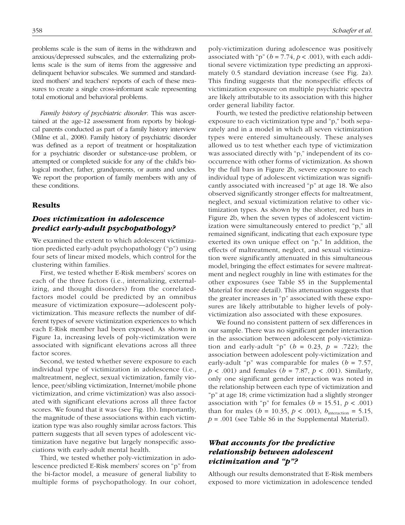problems scale is the sum of items in the withdrawn and anxious/depressed subscales, and the externalizing problems scale is the sum of items from the aggressive and delinquent behavior subscales. We summed and standardized mothers' and teachers' reports of each of these measures to create a single cross-informant scale representing total emotional and behavioral problems.

*Family history of psychiatric disorder*. This was ascertained at the age-12 assessment from reports by biological parents conducted as part of a family history interview (Milne et al., 2008). Family history of psychiatric disorder was defined as a report of treatment or hospitalization for a psychiatric disorder or substance-use problem, or attempted or completed suicide for any of the child's biological mother, father, grandparents, or aunts and uncles. We report the proportion of family members with any of these conditions.

### Results

# *Does victimization in adolescence predict early-adult psychopathology?*

We examined the extent to which adolescent victimization predicted early-adult psychopathology ("p") using four sets of linear mixed models, which control for the clustering within families.

First, we tested whether E-Risk members' scores on each of the three factors (i.e., internalizing, externalizing, and thought disorders) from the correlatedfactors model could be predicted by an omnibus measure of victimization exposure—adolescent polyvictimization. This measure reflects the number of different types of severe victimization experiences to which each E-Risk member had been exposed. As shown in Figure 1a, increasing levels of poly-victimization were associated with significant elevations across all three factor scores.

Second, we tested whether severe exposure to each individual type of victimization in adolescence (i.e., maltreatment, neglect, sexual victimization, family violence, peer/sibling victimization, Internet/mobile phone victimization, and crime victimization) was also associated with significant elevations across all three factor scores. We found that it was (see Fig. 1b). Importantly, the magnitude of these associations within each victimization type was also roughly similar across factors. This pattern suggests that all seven types of adolescent victimization have negative but largely nonspecific associations with early-adult mental health.

Third, we tested whether poly-victimization in adolescence predicted E-Risk members' scores on "p" from the bi-factor model, a measure of general liability to multiple forms of psychopathology. In our cohort, poly-victimization during adolescence was positively associated with "p" ( $b = 7.74$ ,  $p < .001$ ), with each additional severe victimization type predicting an approximately 0.5 standard deviation increase (see Fig. 2a). This finding suggests that the nonspecific effects of victimization exposure on multiple psychiatric spectra are likely attributable to its association with this higher order general liability factor.

Fourth, we tested the predictive relationship between exposure to each victimization type and "p," both separately and in a model in which all seven victimization types were entered simultaneously. These analyses allowed us to test whether each type of victimization was associated directly with "p," independent of its cooccurrence with other forms of victimization. As shown by the full bars in Figure 2b, severe exposure to each individual type of adolescent victimization was significantly associated with increased "p" at age 18. We also observed significantly stronger effects for maltreatment, neglect, and sexual victimization relative to other victimization types. As shown by the shorter, red bars in Figure 2b, when the seven types of adolescent victimization were simultaneously entered to predict "p," all remained significant, indicating that each exposure type exerted its own unique effect on "p." In addition, the effects of maltreatment, neglect, and sexual victimization were significantly attenuated in this simultaneous model, bringing the effect estimates for severe maltreatment and neglect roughly in line with estimates for the other exposures (see [Table S5](https://journals.sagepub.com/doi/suppl/10.1177/2167702617741381) in the Supplemental Material for more detail). This attenuation suggests that the greater increases in "p" associated with these exposures are likely attributable to higher levels of polyvictimization also associated with these exposures.

We found no consistent pattern of sex differences in our sample. There was no significant gender interaction in the association between adolescent poly-victimization and early-adult " $p$ " ( $b = 0.23$ ,  $p = .722$ ); the association between adolescent poly-victimization and early-adult "p" was comparable for males ( $b = 7.57$ , *p* < .001) and females (*b* = 7.87, *p* < .001). Similarly, only one significant gender interaction was noted in the relationship between each type of victimization and "p" at age 18; crime victimization had a slightly stronger association with "p" for females ( $b = 15.51$ ,  $p < .001$ ) than for males ( $b = 10.35, p < .001$ ),  $b_{\text{interaction}} = 5.15$ ,  $p = .001$  (see [Table S6 i](https://journals.sagepub.com/doi/suppl/10.1177/2167702617741381)n the Supplemental Material).

# *What accounts for the predictive relationship between adolescent victimization and "p"?*

Although our results demonstrated that E-Risk members exposed to more victimization in adolescence tended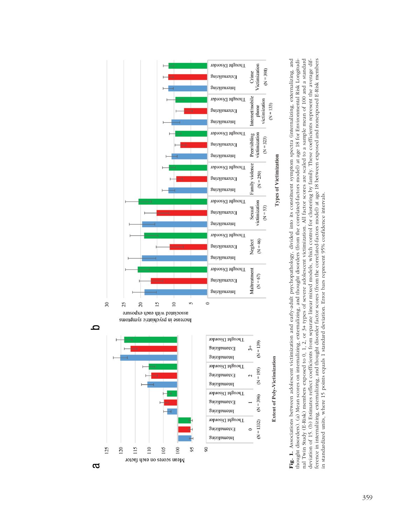

Fig. 1. Associations between adolescent victimization and early-adult psychopathology, divided into its constituent symptom spectra (internalizing, externalizing, and nal Twin Study (E-Risk) members exposed to 0, 1, 2, or 3+ types of severe adolescent victimization. All factor scores are scaled to a sample mean of 100 and a standard ference in internalizing, externalizing, and thought disorder factor scores (from the correlated-factors model) at age 18 between exposed and nonexposed E-Risk members nal Twin Study (E-Risk) members exposed to 0, 1, 2, or 3+ types of severe adolescent victimization. All factor scores are scaled to a sample mean of 100 and a standard deviation of 15. (b) Estimates reflect coefficients from separate linear mixed models, which control for clustering by family. These coefficients represent the average difference in internalizing, externalizing, and thought disorder factor scores (from the correlated-factors model) at age 18 between exposed and nonexposed E-Risk members<br>in standardized units, where 15 points equals 1 standa Fig. 1. Associations between adolescent victimization and early-adult psychopathology, divided into its constituent symptom spectra (internalizing, externalizing, and thought disorders). (a) Mean scores on internalizing, externalizing, and thought disorders (from the correlated-factors model) at age 18 for Environmental Risk Longitudithought disorders). (a) Mean scores on internalizing, externalizing, and thought disorders (from the correlated-factors model) at age 18 for Environmental Risk Longitudideviation of 15. (b) Estimates reflect coefficients from separate linear mixed models, which control for clustering by family. These coefficients represent the average difin standardized units, where 15 points equals 1 standard deviation. Error bars represent 95% confidence intervals.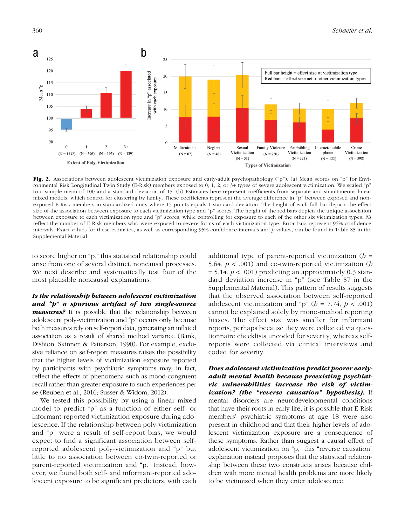

Fig. 2. Associations between adolescent victimization exposure and early-adult psychopathology ("p"). (a) Mean scores on "p" for Environmental Risk Longitudinal Twin Study (E-Risk) members exposed to 0, 1, 2, or 3+ types of severe adolescent victimization. We scaled "p" to a sample mean of 100 and a standard deviation of 15. (b) Estimates here represent coefficients from separate and simultaneous linear mixed models, which control for clustering by family. These coefficients represent the average difference in "p" between exposed and nonexposed E-Risk members in standardized units where 15 points equals 1 standard deviation. The height of each full bar depicts the effect size of the association between exposure to each victimization type and "p" scores. The height of the red bars depicts the unique association between exposure to each victimization type and "p" scores, while controlling for exposure to each of the other six victimization types. *N*s reflect the number of E-Risk members who were exposed to severe forms of each victimization type. Error bars represent 95% confidence intervals. Exact values for these estimates, as well as corresponding 95% confidence intervals and *p* values, can be found in [Table S5](https://journals.sagepub.com/doi/suppl/10.1177/2167702617741381) in the Supplemental Material.

to score higher on "p," this statistical relationship could arise from one of several distinct, noncausal processes. We next describe and systematically test four of the most plausible noncausal explanations.

*Is the relationship between adolescent victimization and "p" a spurious artifact of two single-source measures?.* It is possible that the relationship between adolescent poly-victimization and "p" occurs only because both measures rely on self-report data, generating an inflated association as a result of shared method variance (Bank, Dishion, Skinner, & Patterson, 1990). For example, exclusive reliance on self-report measures raises the possibility that the higher levels of victimization exposure reported by participants with psychiatric symptoms may, in fact, reflect the effects of phenomena such as mood-congruent recall rather than greater exposure to such experiences per se (Reuben et al., 2016; Susser & Widom, 2012).

We tested this possibility by using a linear mixed model to predict "p" as a function of either self- or informant-reported victimization exposure during adolescence. If the relationship between poly-victimization and "p" were a result of self-report bias, we would expect to find a significant association between selfreported adolescent poly-victimization and "p" but little to no association between co-twin-reported or parent-reported victimization and "p." Instead, however, we found both self- and informant-reported adolescent exposure to be significant predictors, with each

additional type of parent-reported victimization (*b* = 5.64, *p* < .001) and co-twin-reported victimization (*b*  $= 5.14, p < .001$ ) predicting an approximately 0.3 standard deviation increase in "p" (see [Table S7](https://journals.sagepub.com/doi/suppl/10.1177/2167702617741381) in the Supplemental Material). This pattern of results suggests that the observed association between self-reported adolescent victimization and "p" ( $b = 7.74$ ,  $p < .001$ ) cannot be explained solely by mono-method reporting biases. The effect size was smaller for informant reports, perhaps because they were collected via questionnaire checklists uncoded for severity, whereas selfreports were collected via clinical interviews and coded for severity.

*Does adolescent victimization predict poorer earlyadult mental health because preexisting psychiatric vulnerabilities increase the risk of victimization? (the "reverse causation" hypothesis).* If mental disorders are neurodevelopmental conditions that have their roots in early life, it is possible that E-Risk members' psychiatric symptoms at age 18 were also present in childhood and that their higher levels of adolescent victimization exposure are a consequence of these symptoms. Rather than suggest a causal effect of adolescent victimization on "p," this "reverse causation" explanation instead proposes that the statistical relationship between these two constructs arises because children with more mental health problems are more likely to be victimized when they enter adolescence.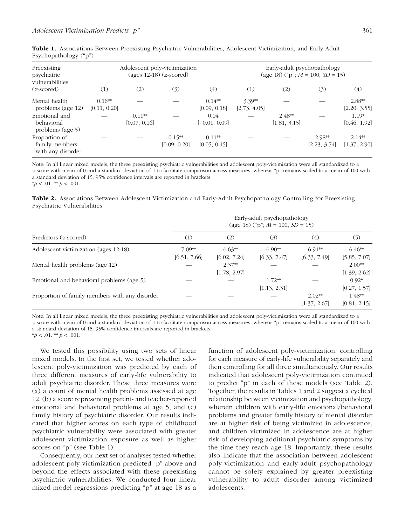| Preexisting<br>psychiatric<br>vulnerabilities<br>$(z\text{-}score)$ | Adolescent poly-victimization<br>(ages $12-18$ ) ( <i>z</i> -scored) |                          |                          |                          | Early-adult psychopathology<br>(age 18) ("p"; $M = 100$ , $SD = 15$ ) |                          |                        |                          |  |
|---------------------------------------------------------------------|----------------------------------------------------------------------|--------------------------|--------------------------|--------------------------|-----------------------------------------------------------------------|--------------------------|------------------------|--------------------------|--|
|                                                                     | (1)                                                                  | (2)                      | (3)                      | (4)                      | (1)                                                                   | (2)                      | (3)                    | (4)                      |  |
| Mental health<br>problems (age 12)                                  | $0.16**$<br>[0.11, 0.20]                                             |                          |                          | $0.14**$<br>[0.09, 0.18] | $3.39**$<br>[2.73, 4.05]                                              |                          |                        | 2.88**<br>[2.20, 3.55]   |  |
| Emotional and<br>behavioral<br>problems (age 5)                     |                                                                      | $0.11**$<br>[0.07, 0.16] |                          | 0.04<br>$[-0.01, 0.09]$  |                                                                       | $2.48**$<br>[1.81, 3.15] |                        | $1.19*$<br>[0.46, 1.92]  |  |
| Proportion of<br>family members<br>with any disorder                |                                                                      |                          | $0.15**$<br>[0.09, 0.20] | $0.11**$<br>[0.05, 0.15] |                                                                       |                          | 2.98**<br>[2.23, 3.74] | $2.14**$<br>[1.37, 2.90] |  |

|                       |  | Table 1. Associations Between Preexisting Psychiatric Vulnerabilities, Adolescent Victimization, and Early-Adult |  |  |
|-----------------------|--|------------------------------------------------------------------------------------------------------------------|--|--|
| Psychopathology ("p") |  |                                                                                                                  |  |  |

Note: In all linear mixed models, the three preexisting psychiatric vulnerabilities and adolescent poly-victimization were all standardized to a *z*-score with mean of 0 and a standard deviation of 1 to facilitate comparison across measures, whereas "p" remains scaled to a mean of 100 with a standard deviation of 15. 95% confidence intervals are reported in brackets.  $**p* < .01.$   $**p* < .001.$ 

Table 2. Associations Between Adolescent Victimization and Early-Adult Psychopathology Controlling for Preexisting Psychiatric Vulnerabilities

|                                                | Early-adult psychopathology<br>(age 18) ("p"; $M = 100$ , $SD = 15$ ) |                          |                          |                          |                          |  |  |  |
|------------------------------------------------|-----------------------------------------------------------------------|--------------------------|--------------------------|--------------------------|--------------------------|--|--|--|
| Predictors $(z$ -scored)                       | (1)                                                                   | (2)                      | (3)                      | (4)                      | (5)                      |  |  |  |
| Adolescent victimization (ages 12-18)          | $7.09**$<br>[6.51, 7.66]                                              | $6.63**$<br>[6.02, 7.24] | $6.90**$<br>[6.33, 7.47] | $6.91**$<br>[6.33, 7.49] | $6.46**$<br>[5.85, 7.07] |  |  |  |
| Mental health problems (age 12)                |                                                                       | $2.37**$<br>[1.78, 2.97] |                          |                          | $2.00**$<br>[1.39, 2.62] |  |  |  |
| Emotional and behavioral problems (age 5)      |                                                                       |                          | $1.72**$<br>[1.13, 2.31] |                          | $0.92*$<br>[0.27, 1.57]  |  |  |  |
| Proportion of family members with any disorder |                                                                       |                          |                          | $2.02**$<br>[1.37, 2.67] | $1.48**$<br>[0.81, 2.15] |  |  |  |

Note: In all linear mixed models, the three preexisting psychiatric vulnerabilities and adolescent poly-victimization were all standardized to a *z*-score with mean of 0 and a standard deviation of 1 to facilitate comparison across measures, whereas "p" remains scaled to a mean of 100 with a standard deviation of 15. 95% confidence intervals are reported in brackets.  $**p* < .01.$   $**p* < .001.$ 

We tested this possibility using two sets of linear mixed models. In the first set, we tested whether adolescent poly-victimization was predicted by each of three different measures of early-life vulnerability to adult psychiatric disorder. These three measures were (a) a count of mental health problems assessed at age 12, (b) a score representing parent- and teacher-reported emotional and behavioral problems at age 5, and (c) family history of psychiatric disorder. Our results indicated that higher scores on each type of childhood psychiatric vulnerability were associated with greater adolescent victimization exposure as well as higher scores on "p" (see Table 1).

Consequently, our next set of analyses tested whether adolescent poly-victimization predicted "p" above and beyond the effects associated with these preexisting psychiatric vulnerabilities. We conducted four linear mixed model regressions predicting "p" at age 18 as a

function of adolescent poly-victimization, controlling for each measure of early-life vulnerability separately and then controlling for all three simultaneously. Our results indicated that adolescent poly-victimization continued to predict "p" in each of these models (see Table 2). Together, the results in Tables 1 and 2 suggest a cyclical relationship between victimization and psychopathology, wherein children with early-life emotional/behavioral problems and greater family history of mental disorder are at higher risk of being victimized in adolescence, and children victimized in adolescence are at higher risk of developing additional psychiatric symptoms by the time they reach age 18. Importantly, these results also indicate that the association between adolescent poly-victimization and early-adult psychopathology cannot be solely explained by greater preexisting vulnerability to adult disorder among victimized adolescents.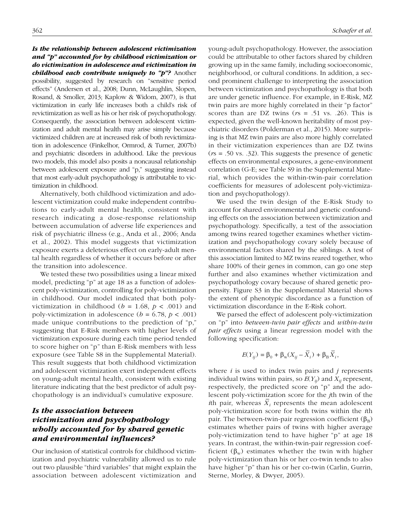## *Is the relationship between adolescent victimization and "p" accounted for by childhood victimization or do victimization in adolescence and victimization in childhood each contribute uniquely to "p"?* Another possibility, suggested by research on "sensitive period effects" (Andersen et al., 2008; Dunn, McLaughlin, Slopen, Rosand, & Smoller, 2013; Kaplow & Widom, 2007), is that victimization in early life increases both a child's risk of revictimization as well as his or her risk of psychopathology. Consequently, the association between adolescent victimization and adult mental health may arise simply because victimized children are at increased risk of both revictimization in adolescence (Finkelhor, Ormrod, & Turner, 2007b) and psychiatric disorders in adulthood. Like the previous two models, this model also posits a noncausal relationship between adolescent exposure and "p," suggesting instead that most early-adult psychopathology is attributable to victimization in childhood.

Alternatively, both childhood victimization and adolescent victimization could make independent contributions to early-adult mental health, consistent with research indicating a dose-response relationship between accumulation of adverse life experiences and risk of psychiatric illness (e.g., Anda et al., 2006; Anda et al., 2002). This model suggests that victimization exposure exerts a deleterious effect on early-adult mental health regardless of whether it occurs before or after the transition into adolescence.

We tested these two possibilities using a linear mixed model, predicting "p" at age 18 as a function of adolescent poly-victimization, controlling for poly-victimization in childhood. Our model indicated that both polyvictimization in childhood ( $b = 1.68$ ,  $p < .001$ ) and poly-victimization in adolescence ( $b = 6.78$ ,  $p < .001$ ) made unique contributions to the prediction of "p," suggesting that E-Risk members with higher levels of victimization exposure during each time period tended to score higher on "p" than E-Risk members with less exposure (see [Table S8](https://journals.sagepub.com/doi/suppl/10.1177/2167702617741381) in the Supplemental Material). This result suggests that both childhood victimization and adolescent victimization exert independent effects on young-adult mental health, consistent with existing literature indicating that the best predictor of adult psychopathology is an individual's cumulative exposure.

# *Is the association between victimization and psychopathology wholly accounted for by shared genetic and environmental influences?*

Our inclusion of statistical controls for childhood victimization and psychiatric vulnerability allowed us to rule out two plausible "third variables" that might explain the association between adolescent victimization and young-adult psychopathology. However, the association could be attributable to other factors shared by children growing up in the same family, including socioeconomic, neighborhood, or cultural conditions. In addition, a second prominent challenge to interpreting the association between victimization and psychopathology is that both are under genetic influence. For example, in E-Risk, MZ twin pairs are more highly correlated in their "p factor" scores than are DZ twins (*r*s = .51 vs. .26). This is expected, given the well-known heritability of most psychiatric disorders (Polderman et al., 2015). More surprising is that MZ twin pairs are also more highly correlated in their victimization experiences than are DZ twins (*r*s = .50 vs. .32). This suggests the presence of genetic effects on environmental exposures, a gene-environment correlation (G-E; see [Table S9](https://journals.sagepub.com/doi/suppl/10.1177/2167702617741381) in the Supplemental Material, which provides the within-twin-pair correlation coefficients for measures of adolescent poly-victimization and psychopathology).

We used the twin design of the E-Risk Study to account for shared environmental and genetic confounding effects on the association between victimization and psychopathology. Specifically, a test of the association among twins reared together examines whether victimization and psychopathology covary solely because of environmental factors shared by the siblings. A test of this association limited to MZ twins reared together, who share 100% of their genes in common, can go one step further and also examines whether victimization and psychopathology covary because of shared genetic propensity. [Figure S3](https://journals.sagepub.com/doi/suppl/10.1177/2167702617741381) in the Supplemental Material shows the extent of phenotypic discordance as a function of victimization discordance in the E-Risk cohort.

We parsed the effect of adolescent poly-victimization on "p" into *between-twin pair effects* and *within-twin pair effects* using a linear regression model with the following specification:

$$
E(Y_{ij}) = \beta_0 + \beta_w(X_{ij} - \overline{X}_i) + \beta_B \overline{X}_i,
$$

where *i* is used to index twin pairs and *j* represents individual twins within pairs, so  $E(Y_{ij})$  and  $X_{ij}$  represent, respectively, the predicted score on "p" and the adolescent poly-victimization score for the *j*th twin of the *i*th pair, whereas  $\overline{X}_i$  represents the mean adolescent poly-victimization score for both twins within the *i*th pair. The between-twin-pair regression coefficient  $(\beta_B)$ estimates whether pairs of twins with higher average poly-victimization tend to have higher "p" at age 18 years. In contrast, the within-twin-pair regression coefficient ( $\beta_w$ ) estimates whether the twin with higher poly-victimization than his or her co-twin tends to also have higher "p" than his or her co-twin (Carlin, Gurrin, Sterne, Morley, & Dwyer, 2005).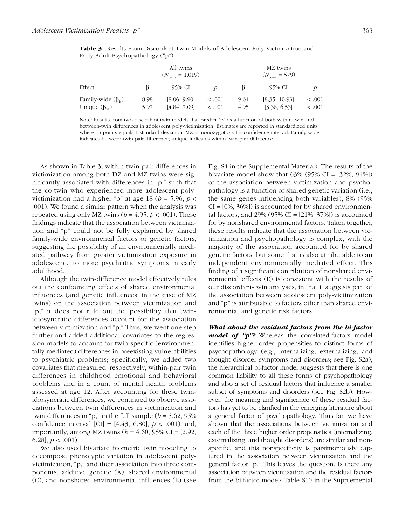|                                                           |              | All twins<br>$(N_{\text{pairs}} = 1,019)$ |                            | MZ twins<br>$(N_{\text{pairs}} = 579)$ |                               |                       |
|-----------------------------------------------------------|--------------|-------------------------------------------|----------------------------|----------------------------------------|-------------------------------|-----------------------|
| Effect                                                    | B            | 95% CI                                    |                            |                                        | 95% CI                        |                       |
| Family-wide $(\beta_{\rm B})$<br>Unique $(\beta_{\rm w})$ | 8.98<br>5.97 | [8.06, 9.90]<br>[4.84, 7.09]              | $\leq .001$<br>$\leq .001$ | 9.64<br>4.95                           | [8.35, 10.93]<br>[3.36, 6.53] | $\leq .001$<br>< .001 |

Table 3. Results From Discordant-Twin Models of Adolescent Poly-Victimization and Early-Adult Psychopathology ("p")

Note: Results from two discordant-twin models that predict "p" as a function of both within-twin and between-twin differences in adolescent poly-victimization. Estimates are reported in standardized units where 15 points equals 1 standard deviation. MZ = monozygotic; CI = confidence interval. Family-wide indicates between-twin-pair difference; unique indicates within-twin-pair difference.

As shown in Table 3, within-twin-pair differences in victimization among both DZ and MZ twins were significantly associated with differences in "p," such that the co-twin who experienced more adolescent polyvictimization had a higher "p" at age 18 ( $b = 5.96$ ,  $p <$ .001). We found a similar pattern when the analysis was repeated using only MZ twins ( $b = 4.95$ ,  $p < .001$ ). These findings indicate that the association between victimization and "p" could not be fully explained by shared family-wide environmental factors or genetic factors, suggesting the possibility of an environmentally mediated pathway from greater victimization exposure in adolescence to more psychiatric symptoms in early adulthood.

Although the twin-difference model effectively rules out the confounding effects of shared environmental influences (and genetic influences, in the case of MZ twins) on the association between victimization and "p," it does not rule out the possibility that twinidiosyncratic differences account for the association between victimization and "p." Thus, we went one step further and added additional covariates to the regression models to account for twin-specific (environmentally mediated) differences in preexisting vulnerabilities to psychiatric problems; specifically, we added two covariates that measured, respectively, within-pair twin differences in childhood emotional and behavioral problems and in a count of mental health problems assessed at age 12. After accounting for these twinidiosyncratic differences, we continued to observe associations between twin differences in victimization and twin differences in "p," in the full sample ( $b = 5.62$ , 95%) confidence interval [CI] =  $[4.43, 6.80]$ ,  $p < .001$ ) and, importantly, among MZ twins  $(b = 4.60, 95\% \text{ CI} = [2.92,$ 6.28],  $p < .001$ ).

We also used bivariate biometric twin modeling to decompose phenotypic variation in adolescent polyvictimization, "p," and their association into three components: additive genetic (A), shared environmental (C), and nonshared environmental influences (E) (see Fig. S4 in the Supplemental Material). The results of the bivariate model show that  $63\%$  (95% CI =  $[32\%, 94\%]$ ) of the association between victimization and psychopathology is a function of shared genetic variation (i.e., the same genes influencing both variables), 8% (95%  $CI = [0\%, 36\%]$  is accounted for by shared environmental factors, and  $29\%$  (95% CI = [21%, 37%]) is accounted for by nonshared environmental factors. Taken together, these results indicate that the association between victimization and psychopathology is complex, with the majority of the association accounted for by shared genetic factors, but some that is also attributable to an independent environmentally mediated effect. This finding of a significant contribution of nonshared environmental effects (E) is consistent with the results of our discordant-twin analyses, in that it suggests part of the association between adolescent poly-victimization and "p" is attributable to factors other than shared environmental and genetic risk factors.

*What about the residual factors from the bi-factor model of "p"?* Whereas the correlated-factors model identifies higher order propensities to distinct forms of psychopathology (e.g., internalizing, externalizing, and thought disorder symptoms and disorders; see Fig. S2a), the hierarchical bi-factor model suggests that there is one common liability to all these forms of psychopathology and also a set of residual factors that influence a smaller subset of symptoms and disorders (see Fig. S2b). However, the meaning and significance of these residual factors has yet to be clarified in the emerging literature about a general factor of psychopathology. Thus far, we have shown that the associations between victimization and each of the three higher order propensities (internalizing, externalizing, and thought disorders) are similar and nonspecific, and this nonspecificity is parsimoniously captured in the association between victimization and the general factor "p." This leaves the question: Is there any association between victimization and the residual factors from the bi-factor model? Table S10 in the Supplemental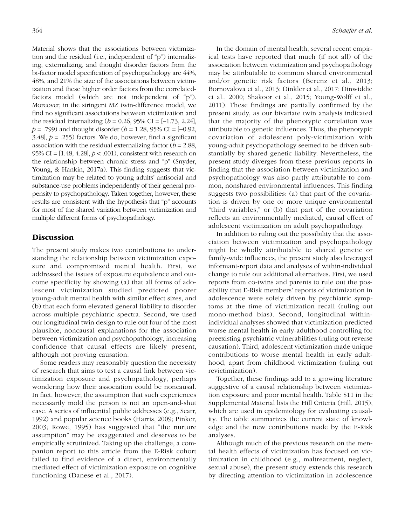Material shows that the associations between victimization and the residual (i.e., independent of "p") internalizing, externalizing, and thought disorder factors from the bi-factor model specification of psychopathology are 44%, 48%, and 21% the size of the associations between victimization and these higher order factors from the correlatedfactors model (which are not independent of "p"). Moreover, in the stringent MZ twin-difference model, we find no significant associations between victimization and the residual internalizing ( $b = 0.26$ , 95% CI = [-1.73, 2.24], *p* = .799) and thought disorder (*b* = 1.28, 95% CI = [−0.92, 3.48],  $p = 0.255$  factors. We do, however, find a significant association with the residual externalizing factor  $(b = 2.88,$ 95% CI = [1.48, 4.28], *p* < .001), consistent with research on the relationship between chronic stress and "p" (Snyder, Young, & Hankin, 2017a). This finding suggests that victimization may be related to young adults' antisocial and substance-use problems independently of their general propensity to psychopathology. Taken together, however, these results are consistent with the hypothesis that "p" accounts for most of the shared variation between victimization and multiple different forms of psychopathology.

### **Discussion**

The present study makes two contributions to understanding the relationship between victimization exposure and compromised mental health. First, we addressed the issues of exposure equivalence and outcome specificity by showing (a) that all forms of adolescent victimization studied predicted poorer young-adult mental health with similar effect sizes, and (b) that each form elevated general liability to disorder across multiple psychiatric spectra. Second, we used our longitudinal twin design to rule out four of the most plausible, noncausal explanations for the association between victimization and psychopathology, increasing confidence that causal effects are likely present, although not proving causation.

Some readers may reasonably question the necessity of research that aims to test a causal link between victimization exposure and psychopathology, perhaps wondering how their association could be noncausal. In fact, however, the assumption that such experiences necessarily mold the person is not an open-and-shut case. A series of influential public addresses (e.g., Scarr, 1992) and popular science books (Harris, 2009; Pinker, 2003; Rowe, 1995) has suggested that "the nurture assumption" may be exaggerated and deserves to be empirically scrutinized. Taking up the challenge, a companion report to this article from the E-Risk cohort failed to find evidence of a direct, environmentally mediated effect of victimization exposure on cognitive functioning (Danese et al., 2017).

In the domain of mental health, several recent empirical tests have reported that much (if not all) of the association between victimization and psychopathology may be attributable to common shared environmental and/or genetic risk factors (Berenz et al., 2013; Bornovalova et al., 2013; Dinkler et al., 2017; Dinwiddie et al., 2000; Shakoor et al., 2015; Young-Wolff et al., 2011). These findings are partially confirmed by the present study, as our bivariate twin analysis indicated that the majority of the phenotypic correlation was attributable to genetic influences. Thus, the phenotypic covariation of adolescent poly-victimization with young-adult psychopathology seemed to be driven substantially by shared genetic liability. Nevertheless, the present study diverges from these previous reports in finding that the association between victimization and psychopathology was also partly attributable to common, nonshared environmental influences. This finding suggests two possibilities: (a) that part of the covariation is driven by one or more unique environmental "third variables," or (b) that part of the covariation reflects an environmentally mediated, causal effect of adolescent victimization on adult psychopathology.

In addition to ruling out the possibility that the association between victimization and psychopathology might be wholly attributable to shared genetic or family-wide influences, the present study also leveraged informant-report data and analyses of within-individual change to rule out additional alternatives. First, we used reports from co-twins and parents to rule out the possibility that E-Risk members' reports of victimization in adolescence were solely driven by psychiatric symptoms at the time of victimization recall (ruling out mono-method bias). Second, longitudinal withinindividual analyses showed that victimization predicted worse mental health in early-adulthood controlling for preexisting psychiatric vulnerabilities (ruling out reverse causation). Third, adolescent victimization made unique contributions to worse mental health in early adulthood, apart from childhood victimization (ruling out revictimization).

Together, these findings add to a growing literature suggestive of a causal relationship between victimization exposure and poor mental health. Table S11 in the Supplemental Material lists the Hill Criteria (Hill, 2015), which are used in epidemiology for evaluating causality. The table summarizes the current state of knowledge and the new contributions made by the E-Risk analyses.

Although much of the previous research on the mental health effects of victimization has focused on victimization in childhood (e.g., maltreatment, neglect, sexual abuse), the present study extends this research by directing attention to victimization in adolescence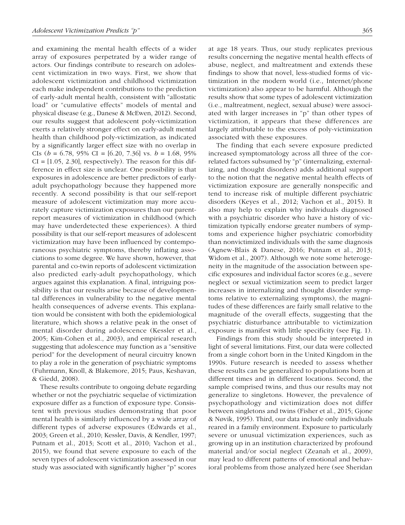and examining the mental health effects of a wider array of exposures perpetrated by a wider range of actors. Our findings contribute to research on adolescent victimization in two ways. First, we show that adolescent victimization and childhood victimization each make independent contributions to the prediction of early-adult mental health, consistent with "allostatic load" or "cumulative effects" models of mental and physical disease (e.g., Danese & McEwen, 2012). Second, our results suggest that adolescent poly-victimization exerts a relatively stronger effect on early-adult mental health than childhood poly-victimization, as indicated by a significantly larger effect size with no overlap in CIs (*b =* 6.78, 95% CI = [6.20, 7.36] vs. *b =* 1.68, 95%  $CI = [1.05, 2.30]$ , respectively). The reason for this difference in effect size is unclear. One possibility is that exposures in adolescence are better predictors of earlyadult psychopathology because they happened more recently. A second possibility is that our self-report measure of adolescent victimization may more accurately capture victimization exposures than our parentreport measures of victimization in childhood (which may have underdetected these experiences). A third possibility is that our self-report measures of adolescent victimization may have been influenced by contemporaneous psychiatric symptoms, thereby inflating associations to some degree. We have shown, however, that parental and co-twin reports of adolescent victimization also predicted early-adult psychopathology, which argues against this explanation. A final, intriguing possibility is that our results arise because of developmental differences in vulnerability to the negative mental health consequences of adverse events. This explanation would be consistent with both the epidemiological literature, which shows a relative peak in the onset of mental disorder during adolescence (Kessler et al., 2005; Kim-Cohen et al., 2003), and empirical research suggesting that adolescence may function as a "sensitive period" for the development of neural circuitry known to play a role in the generation of psychiatric symptoms (Fuhrmann, Knoll, & Blakemore, 2015; Paus, Keshavan, & Giedd, 2008).

These results contribute to ongoing debate regarding whether or not the psychiatric sequelae of victimization exposure differ as a function of exposure type. Consistent with previous studies demonstrating that poor mental health is similarly influenced by a wide array of different types of adverse exposures (Edwards et al., 2003; Green et al., 2010; Kessler, Davis, & Kendler, 1997; Putnam et al., 2013; Scott et al., 2010; Vachon et al., 2015), we found that severe exposure to each of the seven types of adolescent victimization assessed in our study was associated with significantly higher "p" scores at age 18 years. Thus, our study replicates previous results concerning the negative mental health effects of abuse, neglect, and maltreatment and extends these findings to show that novel, less-studied forms of victimization in the modern world (i.e., Internet/phone victimization) also appear to be harmful. Although the results show that some types of adolescent victimization (i.e., maltreatment, neglect, sexual abuse) were associated with larger increases in "p" than other types of victimization, it appears that these differences are largely attributable to the excess of poly-victimization associated with these exposures.

The finding that each severe exposure predicted increased symptomatology across all three of the correlated factors subsumed by "p" (internalizing, externalizing, and thought disorders) adds additional support to the notion that the negative mental health effects of victimization exposure are generally nonspecific and tend to increase risk of multiple different psychiatric disorders (Keyes et al., 2012; Vachon et al., 2015). It also may help to explain why individuals diagnosed with a psychiatric disorder who have a history of victimization typically endorse greater numbers of symptoms and experience higher psychiatric comorbidity than nonvictimized individuals with the same diagnosis (Agnew-Blais & Danese, 2016; Putnam et al., 2013; Widom et al., 2007). Although we note some heterogeneity in the magnitude of the association between specific exposures and individual factor scores (e.g., severe neglect or sexual victimization seem to predict larger increases in internalizing and thought disorder symptoms relative to externalizing symptoms), the magnitudes of these differences are fairly small relative to the magnitude of the overall effects, suggesting that the psychiatric disturbance attributable to victimization exposure is manifest with little specificity (see Fig. 1).

Findings from this study should be interpreted in light of several limitations. First, our data were collected from a single cohort born in the United Kingdom in the 1990s. Future research is needed to assess whether these results can be generalized to populations born at different times and in different locations. Second, the sample comprised twins, and thus our results may not generalize to singletons. However, the prevalence of psychopathology and victimization does not differ between singletons and twins (Fisher et al., 2015; Gjone & Nøvik, 1995). Third, our data include only individuals reared in a family environment. Exposure to particularly severe or unusual victimization experiences, such as growing up in an institution characterized by profound material and/or social neglect (Zeanah et al., 2009), may lead to different patterns of emotional and behavioral problems from those analyzed here (see Sheridan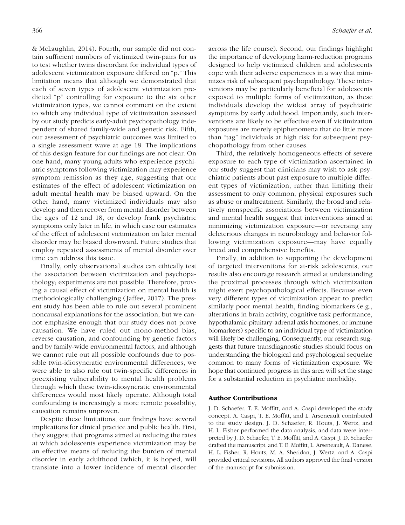& McLaughlin, 2014). Fourth, our sample did not contain sufficient numbers of victimized twin-pairs for us to test whether twins discordant for individual types of adolescent victimization exposure differed on "p." This limitation means that although we demonstrated that each of seven types of adolescent victimization predicted "p" controlling for exposure to the six other victimization types, we cannot comment on the extent to which any individual type of victimization assessed by our study predicts early-adult psychopathology independent of shared family-wide and genetic risk. Fifth, our assessment of psychiatric outcomes was limited to a single assessment wave at age 18. The implications of this design feature for our findings are not clear. On one hand, many young adults who experience psychiatric symptoms following victimization may experience symptom remission as they age, suggesting that our estimates of the effect of adolescent victimization on adult mental health may be biased upward. On the other hand, many victimized individuals may also develop and then recover from mental disorder between the ages of 12 and 18, or develop frank psychiatric symptoms only later in life, in which case our estimates of the effect of adolescent victimization on later mental disorder may be biased downward. Future studies that employ repeated assessments of mental disorder over time can address this issue.

Finally, only observational studies can ethically test the association between victimization and psychopathology; experiments are not possible. Therefore, proving a causal effect of victimization on mental health is methodologically challenging (Jaffee, 2017). The present study has been able to rule out several prominent noncausal explanations for the association, but we cannot emphasize enough that our study does not prove causation. We have ruled out mono-method bias, reverse causation, and confounding by genetic factors and by family-wide environmental factors, and although we cannot rule out all possible confounds due to possible twin-idiosyncratic environmental differences, we were able to also rule out twin-specific differences in preexisting vulnerability to mental health problems through which these twin-idiosyncratic environmental differences would most likely operate. Although total confounding is increasingly a more remote possibility, causation remains unproven.

Despite these limitations, our findings have several implications for clinical practice and public health. First, they suggest that programs aimed at reducing the rates at which adolescents experience victimization may be an effective means of reducing the burden of mental disorder in early adulthood (which, it is hoped, will translate into a lower incidence of mental disorder across the life course). Second, our findings highlight the importance of developing harm-reduction programs designed to help victimized children and adolescents cope with their adverse experiences in a way that minimizes risk of subsequent psychopathology. These interventions may be particularly beneficial for adolescents exposed to multiple forms of victimization, as these individuals develop the widest array of psychiatric symptoms by early adulthood. Importantly, such interventions are likely to be effective even if victimization exposures are merely epiphenomena that do little more than "tag" individuals at high risk for subsequent psychopathology from other causes.

Third, the relatively homogeneous effects of severe exposure to each type of victimization ascertained in our study suggest that clinicians may wish to ask psychiatric patients about past exposure to multiple different types of victimization, rather than limiting their assessment to only common, physical exposures such as abuse or maltreatment. Similarly, the broad and relatively nonspecific associations between victimization and mental health suggest that interventions aimed at minimizing victimization exposure—or reversing any deleterious changes in neurobiology and behavior following victimization exposure—may have equally broad and comprehensive benefits.

Finally, in addition to supporting the development of targeted interventions for at-risk adolescents, our results also encourage research aimed at understanding the proximal processes through which victimization might exert psychopathological effects. Because even very different types of victimization appear to predict similarly poor mental health, finding biomarkers (e.g., alterations in brain activity, cognitive task performance, hypothalamic-pituitary-adrenal axis hormones, or immune biomarkers) specific to an individual type of victimization will likely be challenging. Consequently, our research suggests that future transdiagnostic studies should focus on understanding the biological and psychological sequelae common to many forms of victimization exposure. We hope that continued progress in this area will set the stage for a substantial reduction in psychiatric morbidity.

#### Author Contributions

J. D. Schaefer, T. E. Moffitt, and A. Caspi developed the study concept. A. Caspi, T. E. Moffitt, and L. Arseneault contributed to the study design. J. D. Schaefer, R. Houts, J. Wertz, and H. L. Fisher performed the data analysis, and data were interpreted by J. D. Schaefer, T. E. Moffitt, and A. Caspi. J. D. Schaefer drafted the manuscript, and T. E. Moffitt, L. Arseneault, A. Danese, H. L. Fisher, R. Houts, M. A. Sheridan, J. Wertz, and A. Caspi provided critical revisions. All authors approved the final version of the manuscript for submission.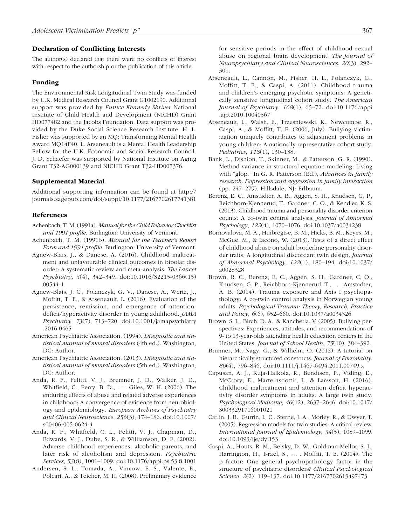#### Declaration of Conflicting Interests

The author(s) declared that there were no conflicts of interest with respect to the authorship or the publication of this article.

#### Funding

The Environmental Risk Longitudinal Twin Study was funded by U.K. Medical Research Council Grant G1002190. Additional support was provided by *Eunice Kennedy Shriver* National Institute of Child Health and Development (NICHD) Grant HD077482 and the Jacobs Foundation. Data support was provided by the Duke Social Science Research Institute. H. L. Fisher was supported by an MQ: Transforming Mental Health Award MQ14F40. L. Arseneault is a Mental Health Leadership Fellow for the U.K. Economic and Social Research Council. J. D. Schaefer was supported by National Institute on Aging Grant T32-AG000139 and NICHD Grant T32-HD007376.

#### Supplemental Material

Additional supporting information can be found at [http://](http://journals.sagepub.com/doi/suppl/10.1177/2167702617741381) [journals.sagepub.com/doi/suppl/10.1177/2167702617741381](http://journals.sagepub.com/doi/suppl/10.1177/2167702617741381)

### References

- Achenbach, T. M. (1991a). *Manual for the Child Behavior Checklist and 1991 profile*. Burlington: University of Vermont.
- Achenbach, T. M. (1991b). *Manual for the Teacher's Report Form and 1991 profile*. Burlington: University of Vermont.
- Agnew-Blais, J., & Danese, A. (2016). Childhood maltreatment and unfavourable clinical outcomes in bipolar disorder: A systematic review and meta-analysis. *The Lancet Psychiatry*, *3*(4), 342–349. doi[:10.1016/S2215-0366\(15\)](https://doi.org/10.1016/S2215-0366(15)00544-1) [00544-1](https://doi.org/10.1016/S2215-0366(15)00544-1)
- Agnew-Blais, J. C., Polanczyk, G. V., Danese, A., Wertz, J., Moffitt, T. E., & Arseneault, L. (2016). Evaluation of the persistence, remission, and emergence of attentiondeficit/hyperactivity disorder in young adulthood. *JAMA Psychiatry*, *73*(7), 713–720. doi:[10.1001/jamapsychiatry](https://doi.org/10.1001/jamapsychiatry.2016.0465) [.2016.0465](https://doi.org/10.1001/jamapsychiatry.2016.0465)
- American Psychiatric Association. (1994). *Diagnostic and statistical manual of mental disorders* (4th ed.). Washington, DC: Author.
- American Psychiatric Association. (2013). *Diagnostic and statistical manual of mental disorders* (5th ed.). Washington, DC: Author.
- Anda, R. F., Felitti, V. J., Bremner, J. D., Walker, J. D., Whitfield, C., Perry, B. D., . . . Giles, W. H. (2006). The enduring effects of abuse and related adverse experiences in childhood: A convergence of evidence from neurobiology and epidemiology. *European Archives of Psychiatry and Clinical Neuroscience*, *256*(3), 174–186. doi[:10.1007/](https://doi.org/http://dx.doi.org.proxy.lib.duke.edu/10.1007/s00406-005-0624-4) [s00406-005-0624-4](https://doi.org/http://dx.doi.org.proxy.lib.duke.edu/10.1007/s00406-005-0624-4)
- Anda, R. F., Whitfield, C. L., Felitti, V. J., Chapman, D., Edwards, V. J., Dube, S. R., & Williamson, D. F. (2002). Adverse childhood experiences, alcoholic parents, and later risk of alcoholism and depression. *Psychiatric Services*, *53*(8), 1001–1009. doi:[10.1176/appi.ps.53.8.1001](https://doi.org/10.1176/appi.ps.53.8.1001)
- Andersen, S. L., Tomada, A., Vincow, E. S., Valente, E., Polcari, A., & Teicher, M. H. (2008). Preliminary evidence

for sensitive periods in the effect of childhood sexual abuse on regional brain development. *The Journal of Neuropsychiatry and Clinical Neurosciences*, *20*(3), 292– 301.

- Arseneault, L., Cannon, M., Fisher, H. L., Polanczyk, G., Moffitt, T. E., & Caspi, A. (2011). Childhood trauma and children's emerging psychotic symptoms: A genetically sensitive longitudinal cohort study. *The American Journal of Psychiatry*, *168*(1), 65–72. doi:[10.1176/appi](https://doi
.org/10.1176/appi.ajp.2010.10040567) [.ajp.2010.10040567](https://doi
.org/10.1176/appi.ajp.2010.10040567)
- Arseneault, L., Walsh, E., Trzesniewski, K., Newcombe, R., Caspi, A., & Moffitt, T. E. (2006, July). Bullying victimization uniquely contributes to adjustment problems in young children: A nationally representative cohort study. *Pediatrics*, *118*(1), 130–138.
- Bank, L., Dishion, T., Skinner, M., & Patterson, G. R. (1990). Method variance in structural equation modeling: Living with "glop." In G. R. Patterson (Ed.), *Advances in family research. Depression and aggression in family interaction* (pp. 247–279). Hillsdale, NJ: Erlbaum.
- Berenz, E. C., Amstadter, A. B., Aggen, S. H., Knudsen, G. P., Reichborn-Kjennerud, T., Gardner, C. O., & Kendler, K. S. (2013). Childhood trauma and personality disorder criterion counts: A co-twin control analysis. *Journal of Abnormal Psychology*, *122*(4), 1070–1076. doi:[10.1037/a0034238](https://doi.org/10.1037/a0034238)
- Bornovalova, M. A., Huibregtse, B. M., Hicks, B. M., Keyes, M., McGue, M., & Iacono, W. (2013). Tests of a direct effect of childhood abuse on adult borderline personality disorder traits: A longitudinal discordant twin design. *Journal of Abnormal Psychology*, *122*(1), 180–194. doi[:10.1037/](https://doi.org/10.1037/a0028328) [a0028328](https://doi.org/10.1037/a0028328)
- Brown, R. C., Berenz, E. C., Aggen, S. H., Gardner, C. O., Knudsen, G. P., Reichborn-Kjennerud, T., . . . Amstadter, A. B. (2014). Trauma exposure and Axis I psychopathology: A co-twin control analysis in Norwegian young adults. *Psychological Trauma: Theory, Research, Practice and Policy*, *6*(6), 652–660. doi:[10.1037/a0034326](https://doi.org/10.1037/a0034326)
- Brown, S. L., Birch, D. A., & Kancherla, V. (2005). Bullying perspectives: Experiences, attitudes, and recommendations of 9- to 13-year-olds attending health education centers in the United States. *Journal of School Health*, *75*(10), 384–392.
- Brunner, M., Nagy, G., & Wilhelm, O. (2012). A tutorial on hierarchically structured constructs. *Journal of Personality*, *80*(4), 796–846. doi:[10.1111/j.1467-6494.2011.00749.x](https://doi.org/10.1111/j.1467-6494.2011.00749.x)
- Capusan, A. J., Kuja-Halkola, R., Bendtsen, P., Viding, E., McCrory, E., Marteinsdottir, I., & Larsson, H. (2016). Childhood maltreatment and attention deficit hyperactivity disorder symptoms in adults: A large twin study. *Psychological Medicine*, *46*(12), 2637–2646. doi:[10.1017/](https://doi.org/10.1017/S0033291716001021) [S0033291716001021](https://doi.org/10.1017/S0033291716001021)
- Carlin, J. B., Gurrin, L. C., Sterne, J. A., Morley, R., & Dwyer, T. (2005). Regression models for twin studies: A critical review. *International Journal of Epidemiology*, *34*(5), 1089–1099. doi:[10.1093/ije/dyi153](https://doi.org/10.1093/ije/dyi153)
- Caspi, A., Houts, R. M., Belsky, D. W., Goldman-Mellor, S. J., Harrington, H., Israel, S., . . . Moffitt, T. E. (2014). The p factor: One general psychopathology factor in the structure of psychiatric disorders? *Clinical Psychological Science*, *2*(2), 119–137. doi:[10.1177/2167702613497473](https://doi.org/10.1177/2167702613497473)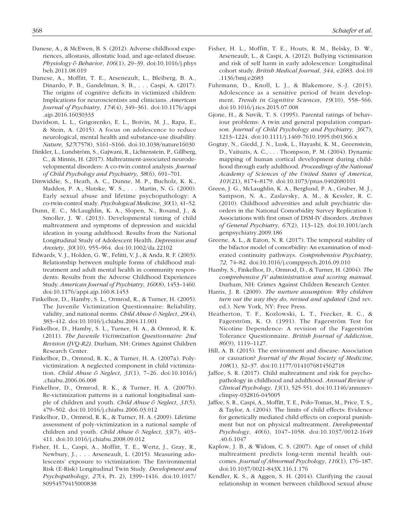- Danese, A., & McEwen, B. S. (2012). Adverse childhood experiences, allostasis, allostatic load, and age-related disease. *Physiology & Behavior*, *106*(1), 29–39. doi[:10.1016/j.phys](https://doi.org/10.1016/j.physbeh.2011.08.019) [beh.2011.08.019](https://doi.org/10.1016/j.physbeh.2011.08.019)
- Danese, A., Moffitt, T. E., Arseneault, L., Bleiberg, B. A., Dinardo, P. B., Gandelman, S. B., . . . Caspi, A. (2017). The origins of cognitive deficits in victimized children: Implications for neuroscientists and clinicians. *American Journal of Psychiatry*, *174*(4), 349–361. doi:[10.1176/appi](https://doi.org/10.1176/appi.ajp.2016.16030333) [.ajp.2016.16030333](https://doi.org/10.1176/appi.ajp.2016.16030333)
- Davidson, L. L., Grigorenko, E. L., Boivin, M. J., Rapa, E., & Stein, A. (2015). A focus on adolescence to reduce neurological, mental health and substance-use disability. *Nature*, *527*(7578), S161–S166. doi:[10.1038/nature16030](https://doi.org/10.1038/nature16030)
- Dinkler, L., Lundström, S., Gajwani, R., Lichtenstein, P., Gillberg, C., & Minnis, H. (2017). Maltreatment-associated neurodevelopmental disorders: A co-twin control analysis. *Journal of Child Psychology and Psychiatry*, *58*(6), 691–701.
- Dinwiddie, S., Heath, A. C., Dunne, M. P., Bucholz, K. K., Madden, P. A., Slutske, W. S., . . . Martin, N. G. (2000). Early sexual abuse and lifetime psychopathology: A co-twin-control study. *Psychological Medicine*, *30*(1), 41–52.
- Dunn, E. C., McLaughlin, K. A., Slopen, N., Rosand, J., & Smoller, J. W. (2013). Developmental timing of child maltreatment and symptoms of depression and suicidal ideation in young adulthood: Results from the National Longitudinal Study of Adolescent Health. *Depression and Anxiety*, *30*(10), 955–964. doi[:10.1002/da.22102](https://doi.org/10.1002/da.22102)
- Edwards, V. J., Holden, G. W., Felitti, V. J., & Anda, R. F. (2003). Relationship between multiple forms of childhood maltreatment and adult mental health in community respondents: Results from the Adverse Childhood Experiences Study. *American Journal of Psychiatry*, *160*(8), 1453–1460. doi:[10.1176/appi.ajp.160.8.1453](https://doi.org/10.1176/appi.ajp.160.8.1453)
- Finkelhor, D., Hamby, S. L., Ormrod, R., & Turner, H. (2005). The Juvenile Victimization Questionnaire: Reliability, validity, and national norms. *Child Abuse & Neglect*, *29*(4), 383–412. doi:[10.1016/j.chiabu.2004.11.001](https://doi.org/10.1016/j.chiabu.2004.11.001)
- Finkelhor, D., Hamby, S. L., Turner, H. A., & Ormrod, R. K. (2011). *The Juvenile Victimization Questionnaire: 2nd Revision (JVQ-R2)*. Durham, NH: Crimes Against Children Research Center.
- Finkelhor, D., Ormrod, R. K., & Turner, H. A. (2007a). Polyvictimization: A neglected component in child victimization. *Child Abuse & Neglect*, *31*(1), 7–26. doi[:10.1016/j](https://doi.org/10.1016/j.chiabu.2006.06.008) [.chiabu.2006.06.008](https://doi.org/10.1016/j.chiabu.2006.06.008)
- Finkelhor, D., Ormrod, R. K., & Turner, H. A. (2007b). Re-victimization patterns in a national longitudinal sample of children and youth. *Child Abuse & Neglect*, *31*(5), 479–502. doi:[10.1016/j.chiabu.2006.03.012](https://doi.org/10.1016/j.chiabu.2006.03.012)
- Finkelhor, D., Ormrod, R. K., & Turner, H. A. (2009). Lifetime assessment of poly-victimization in a national sample of children and youth. *Child Abuse & Neglect*, *33*(7), 403– 411. doi[:10.1016/j.chiabu.2008.09.012](https://doi.org/10.1016/j.chiabu.2008.09.012)
- Fisher, H. L., Caspi, A., Moffitt, T. E., Wertz, J., Gray, R., Newbury, J., . . . Arseneault, L. (2015). Measuring adolescents' exposure to victimization: The Environmental Risk (E-Risk) Longitudinal Twin Study. *Development and Psychopathology*, *27*(4, Pt. 2), 1399–1416. doi:[10.1017/](https://doi.org/10.1017/S0954579415000838) [S0954579415000838](https://doi.org/10.1017/S0954579415000838)
- Fisher, H. L., Moffitt, T. E., Houts, R. M., Belsky, D. W., Arseneault, L., & Caspi, A. (2012). Bullying victimisation and risk of self harm in early adolescence: Longitudinal cohort study. *British Medical Journal*, *344*, e2683. doi:[10](https://doi.org/10.1136/bmj.e2683) [.1136/bmj.e2683](https://doi.org/10.1136/bmj.e2683)
- Fuhrmann, D., Knoll, L. J., & Blakemore, S.-J. (2015). Adolescence as a sensitive period of brain development. *Trends in Cognitive Sciences*, *19*(10), 558–566. doi:[10.1016/j.tics.2015.07.008](https://doi.org/10.1016/j.tics.2015.07.008)
- Gjone, H., & Nøvik, T. S. (1995). Parental ratings of behaviour problems: A twin and general population comparison. *Journal of Child Psychology and Psychiatry*, *36*(7), 1213–1224. doi:[10.1111/j.1469-7610.1995.tb01366.x](https://doi.org/10.1111/j.1469-7610.1995.tb01366.x)
- Gogtay, N., Giedd, J. N., Lusk, L., Hayashi, K. M., Greenstein, D., Vaituzis, A. C., . . . Thompson, P. M. (2004). Dynamic mapping of human cortical development during childhood through early adulthood. *Proceedings of the National Academy of Sciences of the United States of America*, *101*(21), 8174–8179. doi:1[0.1073/pnas.0402680101](https://doi.org/10.1073/pnas.0402680101)
- Green, J. G., McLaughlin, K. A., Berglund, P. A., Gruber, M. J., Sampson, N. A., Zaslavsky, A. M., & Kessler, R. C. (2010). Childhood adversities and adult psychiatric disorders in the National Comorbidity Survey Replication I: Associations with first onset of DSM-IV disorders. *Archives of General Psychiatry*, *67*(2), 113–123. doi[:10.1001/arch](https://doi.org/10.1001/archgenpsychiatry.2009.186) [genpsychiatry.2009.186](https://doi.org/10.1001/archgenpsychiatry.2009.186)
- Greene, A. L., & Eaton, N. R. (2017). The temporal stability of the bifactor model of comorbidity: An examination of moderated continuity pathways. *Comprehensive Psychiatry*, *72*, 74–82. doi:[10.1016/j.comppsych.2016.09.010](https://doi.org/10.1016/j.comppsych.2016.09.010)
- Hamby, S., Finkelhor, D., Ormrod, D., & Turner, H. (2004). *The comprehensive JV administration and scoring manual*. Durham, NH: Crimes Against Children Research Center.
- Harris, J. R. (2009). *The nurture assumption: Why children turn out the way they do, revised and updated* (2nd rev. ed.). New York, NY: Free Press.
- Heatherton, T. F., Kozlowski, L. T., Frecker, R. C., & Fagerström, K. O. (1991). The Fagerström Test for Nicotine Dependence: A revision of the Fagerström Tolerance Questionnaire. *British Journal of Addiction*, *86*(9), 1119–1127.
- Hill, A. B. (2015). The environment and disease: Association or causation? *Journal of the Royal Society of Medicine*, *108*(1), 32–37. doi:[10.1177/0141076814562718](https://doi.org/10.1177/0141076814562718)
- Jaffee, S. R. (2017). Child maltreatment and risk for psychopathology in childhood and adulthood. *Annual Review of Clinical Psychology*, *13*(1), 525-551. doi:[10.1146/annurev](https://doi.org/10.1146/annurev-clinpsy-032816-045005)[clinpsy-032816-045005](https://doi.org/10.1146/annurev-clinpsy-032816-045005)
- Jaffee, S. R., Caspi, A., Moffitt, T. E., Polo-Tomas, M., Price, T. S., & Taylor, A. (2004). The limits of child effects: Evidence for genetically mediated child effects on corporal punishment but not on physical maltreatment. *Developmental Psychology*, *40*(6), 1047–1058. doi:[10.1037/0012-1649](https://doi.org/10.1037/0012-1649.40.6.1047) [.40.6.1047](https://doi.org/10.1037/0012-1649.40.6.1047)
- Kaplow, J. B., & Widom, C. S. (2007). Age of onset of child maltreatment predicts long-term mental health outcomes. *Journal of Abnormal Psychology*, *116*(1), 176–187. doi:[10.1037/0021-843X.116.1.176](https://doi.org/10.1037/0021-843X.116.1.176)
- Kendler, K. S., & Aggen, S. H. (2014). Clarifying the causal relationship in women between childhood sexual abuse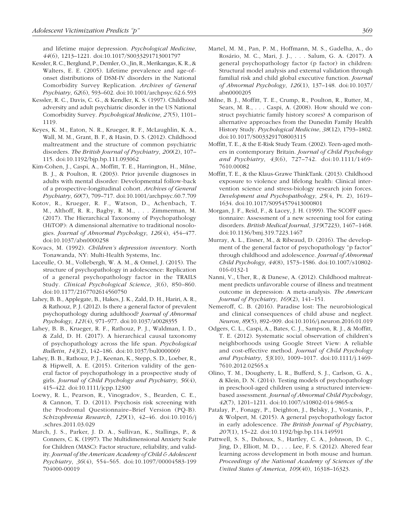and lifetime major depression. *Psychological Medicine*, *44*(6), 1213–1221. doi:[10.1017/S0033291713001797](https://doi.org/10.1017/S0033291713001797)

- Kessler, R. C., Berglund, P., Demler, O., Jin, R., Merikangas, K. R., & Walters, E. E. (2005). Lifetime prevalence and age-ofonset distributions of DSM-IV disorders in the National Comorbidity Survey Replication. *Archives of General Psychiatry*, *62*(6), 593–602. doi:[10.1001/archpsyc.62.6.593](https://doi.org/10.1001/archpsyc.62.6.593)
- Kessler, R. C., Davis, C. G., & Kendler, K. S. (1997). Childhood adversity and adult psychiatric disorder in the US National Comorbidity Survey. *Psychological Medicine*, *27*(5), 1101– 1119.
- Keyes, K. M., Eaton, N. R., Krueger, R. F., McLaughlin, K. A., Wall, M. M., Grant, B. F., & Hasin, D. S. (2012). Childhood maltreatment and the structure of common psychiatric disorders. *The British Journal of Psychiatry*, *200*(2), 107– 115. doi:[10.1192/bjp.bp.111.093062](https://doi.org/10.1192/bjp.bp.111.093062)
- Kim-Cohen, J., Caspi, A., Moffitt, T. E., Harrington, H., Milne, B. J., & Poulton, R. (2003). Prior juvenile diagnoses in adults with mental disorder: Developmental follow-back of a prospective-longitudinal cohort. *Archives of General Psychiatry*, *60*(7), 709–717. doi:[10.1001/archpsyc.60.7.709](https://doi.org/10.1001/archpsyc.60.7.709)
- Kotov, R., Krueger, R. F., Watson, D., Achenbach, T. M., Althoff, R. R., Bagby, R. M., . . . Zimmerman, M. (2017). The Hierarchical Taxonomy of Psychopathology (HiTOP): A dimensional alternative to traditional nosologies. *Journal of Abnormal Psychology*, *126*(4), 454–477. doi:[10.1037/abn0000258](https://doi.org/10.1037/abn0000258)
- Kovacs, M. (1992). *Children's depression inventory*. North Tonawanda, NY: Multi-Health Systems, Inc.
- Laceulle, O. M., Vollebergh, W. A. M., & Ormel, J. (2015). The structure of psychopathology in adolescence: Replication of a general psychopathology factor in the TRAILS Study. *Clinical Psychological Science*, *3*(6), 850–860. doi:[10.1177/2167702614560750](https://doi.org/10.1177/2167702614560750)
- Lahey, B. B., Applegate, B., Hakes, J. K., Zald, D. H., Hariri, A. R., & Rathouz, P. J. (2012). Is there a general factor of prevalent psychopathology during adulthood? *Journal of Abnormal Psychology*, *121*(4), 971–977. doi[:10.1037/a0028355](https://doi.org/10.1037/a0028355)
- Lahey, B. B., Krueger, R. F., Rathouz, P. J., Waldman, I. D., & Zald, D. H. (2017). A hierarchical causal taxonomy of psychopathology across the life span. *Psychological Bulletin*, *143*(2), 142–186. [doi:10.1037/bul0000069](https://doi.org/10.1037/bul0000069)
- Lahey, B. B., Rathouz, P. J., Keenan, K., Stepp, S. D., Loeber, R., & Hipwell, A. E. (2015). Criterion validity of the general factor of psychopathology in a prospective study of girls. *Journal of Child Psychology and Psychiatry*, *56*(4), 415–422. doi[:10.1111/jcpp.12300](https://doi.org/10.1111/jcpp.12300)
- Loewy, R. L., Pearson, R., Vinogradov, S., Bearden, C. E., & Cannon, T. D. (2011). Psychosis risk screening with the Prodromal Questionnaire–Brief Version (PQ-B). *Schizophrenia Research*, *129*(1), 42–46. doi:[10.1016/j](https://doi.org/10.1016/j.schres.2011.03.029) [.schres.2011.03.029](https://doi.org/10.1016/j.schres.2011.03.029)
- March, J. S., Parker, J. D. A., Sullivan, K., Stallings, P., & Conners, C. K. (1997). The Multidimensional Anxiety Scale for Children (MASC): Factor structure, reliability, and validity. *Journal of the American Academy of Child & Adolescent Psychiatry*, *36*(4), 554–565. doi:[10.1097/00004583-199](https://doi.org/10.1097/00004583-199704000-00019) [704000-00019](https://doi.org/10.1097/00004583-199704000-00019)
- Martel, M. M., Pan, P. M., Hoffmann, M. S., Gadelha, A., do Rosário, M. C., Mari, J. J., . . . Salum, G. A. (2017). A general psychopathology factor (p factor) in children: Structural model analysis and external validation through familial risk and child global executive function. *Journal of Abnormal Psychology*, *126*(1), 137–148. doi:[10.1037/](https://doi.org/10.1037/abn0000205) [abn0000205](https://doi.org/10.1037/abn0000205)
- Milne, B. J., Moffitt, T. E., Crump, R., Poulton, R., Rutter, M., Sears, M. R., . . . Caspi, A. (2008). How should we construct psychiatric family history scores? A comparison of alternative approaches from the Dunedin Family Health History Study. *Psychological Medicine*, *38*(12), 1793–1802. doi:[10.1017/S0033291708003115](https://doi.org/10.1017/S0033291708003115)
- Moffitt, T. E., & the E-Risk Study Team. (2002). Teen-aged mothers in contemporary Britain. *Journal of Child Psychology and Psychiatry*, *43*(6), 727–742. doi:[10.1111/1469-](https://doi.org/10.1111/1469-7610.00082) [7610.00082](https://doi.org/10.1111/1469-7610.00082)
- Moffitt, T. E., & the Klaus-Grawe ThinkTank. (2013). Childhood exposure to violence and lifelong health: Clinical intervention science and stress-biology research join forces. *Development and Psychopathology*, *25*(4, Pt. 2), 1619– 1634. doi[:10.1017/S0954579413000801](http://dx.doi.org/10.1017/S0954579413000801)
- Morgan, J. F., Reid, F., & Lacey, J. H. (1999). The SCOFF questionnaire: Assessment of a new screening tool for eating disorders. *British Medical Journal*, *319*(7223), 1467–1468. doi:[10.1136/bmj.319.7223.1467](https://doi.org/10.1136/bmj.319.7223.1467)
- Murray, A. L., Eisner, M., & Ribeaud, D. (2016). The development of the general factor of psychopathology "p factor" through childhood and adolescence. *Journal of Abnormal Child Psychology*, *44*(8), 1573–1586. doi[:10.1007/s10802-](https://doi.org/10.1007/s10802-016-0132-1) [016-0132-1](https://doi.org/10.1007/s10802-016-0132-1)
- Nanni, V., Uher, R., & Danese, A. (2012). Childhood maltreatment predicts unfavorable course of illness and treatment outcome in depression: A meta-analysis. *The American Journal of Psychiatry*, *169*(2), 141–151.
- Nemeroff, C. B. (2016). Paradise lost: The neurobiological and clinical consequences of child abuse and neglect. *Neuron*, *89*(5), 892–909. doi[:10.1016/j.neuron.2016.01.019](https://doi.org/10.1016/j.neuron.2016.01.019)
- Odgers, C. L., Caspi, A., Bates, C. J., Sampson, R. J., & Moffitt, T. E. (2012). Systematic social observation of children's neighborhoods using Google Street View: A reliable and cost-effective method. *Journal of Child Psychology and Psychiatry*, *53*(10), 1009–1017. doi[:10.1111/j.1469-](https://doi.org/10.1111/j.1469-7610.2012.02565.x) [7610.2012.02565.x](https://doi.org/10.1111/j.1469-7610.2012.02565.x)
- Olino, T. M., Dougherty, L. R., Bufferd, S. J., Carlson, G. A., & Klein, D. N. (2014). Testing models of psychopathology in preschool-aged children using a structured interviewbased assessment. *Journal of Abnormal Child Psychology*, *42*(7), 1201–1211. doi[:10.1007/s10802-014-9865-x](http://dx.doi.org/10.1007/s10802-014-9865-x)
- Patalay, P., Fonagy, P., Deighton, J., Belsky, J., Vostanis, P., & Wolpert, M. (2015). A general psychopathology factor in early adolescence. *The British Journal of Psychiatry*, *207*(1), 15–22. doi:[10.1192/bjp.bp.114.149591](https://doi.org/10.1192/bjp.bp.114.149591)
- Pattwell, S. S., Duhoux, S., Hartley, C. A., Johnson, D. C., Jing, D., Elliott, M. D., . . . Lee, F. S. (2012). Altered fear learning across development in both mouse and human. *Proceedings of the National Academy of Sciences of the United States of America*, *109*(40), 16318–16323.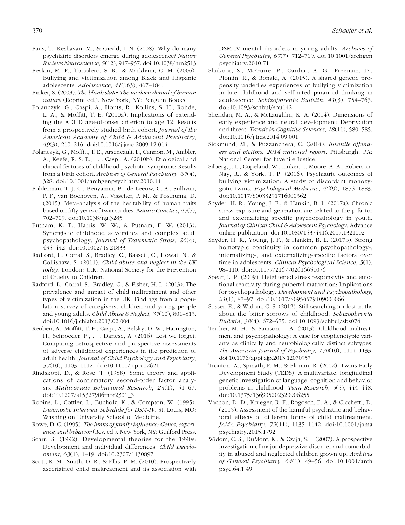- Paus, T., Keshavan, M., & Giedd, J. N. (2008). Why do many psychiatric disorders emerge during adolescence? *Nature Reviews Neuroscience*, *9*(12), 947–957. doi:[10.1038/nrn2513](https://doi.org/10.1038/nrn2513)
- Peskin, M. F., Tortolero, S. R., & Markham, C. M. (2006). Bullying and victimization among Black and Hispanic adolescents. *Adolescence*, *41*(163), 467–484.
- Pinker, S. (2003). *The blank slate: The modern denial of human nature* (Reprint ed.). New York, NY: Penguin Books.
- Polanczyk, G., Caspi, A., Houts, R., Kollins, S. H., Rohde, L. A., & Moffitt, T. E. (2010a). Implications of extending the ADHD age-of-onset criterion to age 12: Results from a prospectively studied birth cohort. *Journal of the American Academy of Child & Adolescent Psychiatry*, *49*(3), 210–216. doi:[10.1016/j.jaac.2009.12.014](https://doi.org/10.1016/j.jaac.2009.12.014)
- Polanczyk, G., Moffitt, T. E., Arseneault, L., Cannon, M., Ambler, A., Keefe, R. S. E., . . . Caspi, A. (2010b). Etiological and clinical features of childhood psychotic symptoms: Results from a birth cohort. *Archives of General Psychiatry*, *67*(4), 328. doi:[10.1001/archgenpsychiatry.2010.14](https://doi.org/10.1001/archgenpsychiatry.2010.14)
- Polderman, T. J. C., Benyamin, B., de Leeuw, C. A., Sullivan, P. F., van Bochoven, A., Visscher, P. M., & Posthuma, D. (2015). Meta-analysis of the heritability of human traits based on fifty years of twin studies. *Nature Genetics*, *47*(7), 702–709. doi[:10.1038/ng.3285](https://doi.org/10.1038/ng.3285)
- Putnam, K. T., Harris, W. W., & Putnam, F. W. (2013). Synergistic childhood adversities and complex adult psychopathology. *Journal of Traumatic Stress*, *26*(4), 435–442. doi:[10.1002/jts.21833](https://doi.org/10.1002/jts.21833)
- Radford, L., Corral, S., Bradley, C., Bassett, C., Howat, N., & Collishaw, S. (2011). *Child abuse and neglect in the UK today*. London: U.K. National Society for the Prevention of Cruelty to Children.
- Radford, L., Corral, S., Bradley, C., & Fisher, H. L. (2013). The prevalence and impact of child maltreatment and other types of victimization in the UK: Findings from a population survey of caregivers, children and young people and young adults. *Child Abuse & Neglect*, *37*(10), 801–813. doi[:10.1016/j.chiabu.2013.02.004](https://doi.org/10.1016/j.chiabu.2013.02.004)
- Reuben, A., Moffitt, T. E., Caspi, A., Belsky, D. W., Harrington, H., Schroeder, F., . . . Danese, A. (2016). Lest we forget: Comparing retrospective and prospective assessments of adverse childhood experiences in the prediction of adult health. *Journal of Child Psychology and Psychiatry*, *57*(10), 1103–1112. doi:[10.1111/jcpp.12621](https://doi.org/10.1111/jcpp.12621)
- Rindskopf, D., & Rose, T. (1988). Some theory and applications of confirmatory second-order factor analysis. *Multivariate Behavioral Research*, *23*(1), 51–67. doi:[10.1207/s15327906mbr2301\\_3](https://doi.org/10.1207/s15327906mbr2301_3)
- Robins, L., Cottler, L., Bucholz, K., & Compton, W. (1995). *Diagnostic Interview Schedule for DSM-IV*. St. Louis, MO: Washington University School of Medicine.
- Rowe, D. C. (1995). *The limits of family influence: Genes, experience, and behavior* (Rev. ed.). New York, NY: Guilford Press.
- Scarr, S. (1992). Developmental theories for the 1990s: Development and individual differences. *Child Development*, *63*(1), 1–19. doi[:10.2307/1130897](https://doi.org/10.2307/1130897)
- Scott, K. M., Smith, D. R., & Ellis, P. M. (2010). Prospectively ascertained child maltreatment and its association with

DSM-IV mental disorders in young adults. *Archives of General Psychiatry*, *67*(7), 712–719. doi[:10.1001/archgen](https://doi.org/10.1001/archgenpsychiatry.2010.71) [psychiatry.2010.71](https://doi.org/10.1001/archgenpsychiatry.2010.71)

- Shakoor, S., McGuire, P., Cardno, A. G., Freeman, D., Plomin, R., & Ronald, A. (2015). A shared genetic propensity underlies experiences of bullying victimization in late childhood and self-rated paranoid thinking in adolescence. *Schizophrenia Bulletin*, *41*(3), 754–763. doi:[10.1093/schbul/sbu142](https://doi.org/10.1093/schbul/sbu142)
- Sheridan, M. A., & McLaughlin, K. A. (2014). Dimensions of early experience and neural development: Deprivation and threat. *Trends in Cognitive Sciences*, *18*(11), 580–585. doi:[10.1016/j.tics.2014.09.001](https://doi.org/10.1016/j.tics.2014.09.001)
- Sickmund, M., & Puzzanchera, C. (2014). *Juvenile offenders and victims: 2014 national report*. Pittsburgh, PA: National Center for Juvenile Justice.
- Silberg, J. L., Copeland, W., Linker, J., Moore, A. A., Roberson-Nay, R., & York, T. P. (2016). Psychiatric outcomes of bullying victimization: A study of discordant monozygotic twins. *Psychological Medicine*, *46*(9), 1875–1883. doi:[10.1017/S0033291716000362](https://doi.org/10.1017/S0033291716000362)
- Snyder, H. R., Young, J. F., & Hankin, B. L. (2017a). Chronic stress exposure and generation are related to the p-factor and externalizing specific psychopathology in youth. *Journal of Clinical Child & Adolescent Psychology.* Advance online publication. doi:10.1080/15374416.2017.1321002
- Snyder, H. R., Young, J. F., & Hankin, B. L. (2017b). Strong homotypic continuity in common psychopathology-, internalizing-, and externalizing-specific factors over time in adolescents. *Clinical Psychological Science*, *5*(1), 98–110. doi:[10.1177/2167702616651076](https://doi.org/10.1177/2167702616651076)
- Spear, L. P. (2009). Heightened stress responsivity and emotional reactivity during pubertal maturation: Implications for psychopathology. *Development and Psychopathology*, *21*(1), 87–97. doi:[10.1017/S0954579409000066](https://doi.org/10.1017/S0954579409000066)
- Susser, E., & Widom, C. S. (2012). Still searching for lost truths about the bitter sorrows of childhood. *Schizophrenia Bulletin*, *38*(4), 672–675. doi:[10.1093/schbul/sbs074](https://doi.org/10.1093/schbul/sbs074)
- Teicher, M. H., & Samson, J. A. (2013). Childhood maltreatment and psychopathology: A case for ecophenotypic variants as clinically and neurobiologically distinct subtypes. *The American Journal of Psychiatry*, *170*(10), 1114–1133. doi[:10.1176/appi.ajp.2013.12070957](https://doi.org/10.1176/appi.ajp.2013.12070957)
- Trouton, A., Spinath, F. M., & Plomin, R. (2002). Twins Early Development Study (TEDS): A multivariate, longitudinal genetic investigation of language, cognition and behavior problems in childhood. *Twin Research*, *5*(5), 444–448. doi:[10.1375/136905202320906255](https://doi.org/10.1375/136905202320906255)
- Vachon, D. D., Krueger, R. F., Rogosch, F. A., & Cicchetti, D. (2015). Assessment of the harmful psychiatric and behavioral effects of different forms of child maltreatment. *JAMA Psychiatry*, *72*(11), 1135–1142. doi:[10.1001/jama](https://doi.org/10.1001/jamapsychiatry.2015.1792) [psychiatry.2015.1792](https://doi.org/10.1001/jamapsychiatry.2015.1792)
- Widom, C. S., DuMont, K., & Czaja, S. J. (2007). A prospective investigation of major depressive disorder and comorbidity in abused and neglected children grown up. *Archives of General Psychiatry*, *64*(1), 49–56. doi:[10.1001/arch](https://doi.org/10.1001/archpsyc.64.1.49) [psyc.64.1.49](https://doi.org/10.1001/archpsyc.64.1.49)